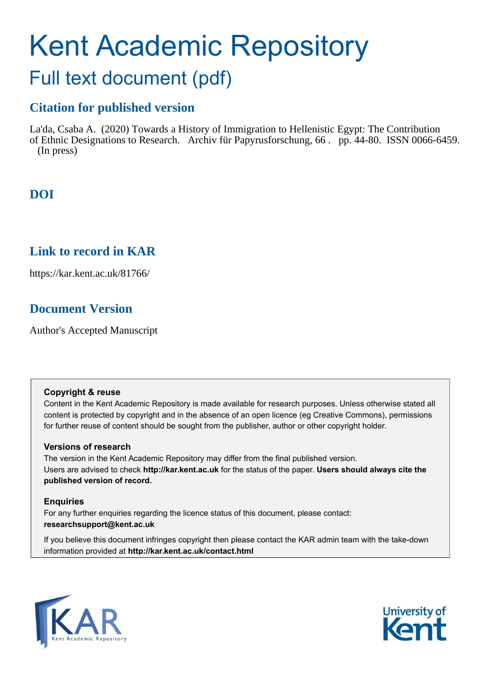# Kent Academic Repository Full text document (pdf)

## **Citation for published version**

La'da, Csaba A. (2020) Towards a History of Immigration to Hellenistic Egypt: The Contribution of Ethnic Designations to Research. Archiv für Papyrusforschung, 66 . pp. 44-80. ISSN 0066-6459. (In press)

## **DOI**

### **Link to record in KAR**

https://kar.kent.ac.uk/81766/

## **Document Version**

Author's Accepted Manuscript

#### **Copyright & reuse**

Content in the Kent Academic Repository is made available for research purposes. Unless otherwise stated all content is protected by copyright and in the absence of an open licence (eg Creative Commons), permissions for further reuse of content should be sought from the publisher, author or other copyright holder.

#### **Versions of research**

The version in the Kent Academic Repository may differ from the final published version. Users are advised to check **http://kar.kent.ac.uk** for the status of the paper. **Users should always cite the published version of record.**

#### **Enquiries**

For any further enquiries regarding the licence status of this document, please contact: **researchsupport@kent.ac.uk**

If you believe this document infringes copyright then please contact the KAR admin team with the take-down information provided at **http://kar.kent.ac.uk/contact.html**



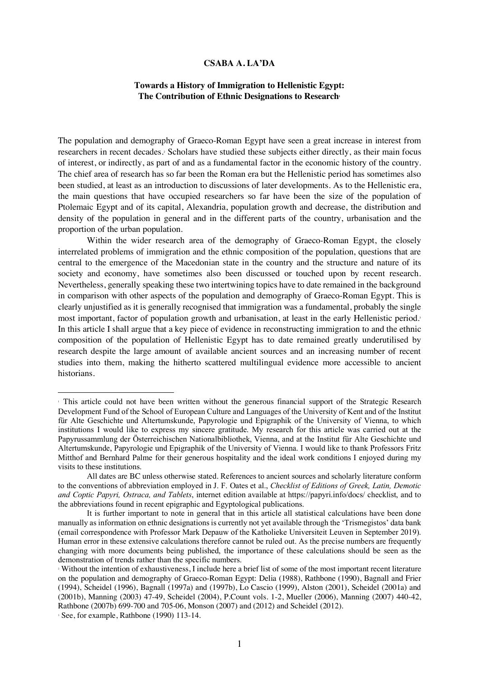#### **CSABA A. LA'DA**

#### **Towards a History of Immigration to Hellenistic Egypt:**  The Contribution of Ethnic Designations to Research<sup>1</sup>

The population and demography of Graeco-Roman Egypt have seen a great increase in interest from researchers in recent decades.2 Scholars have studied these subjects either directly, as their main focus of interest, or indirectly, as part of and as a fundamental factor in the economic history of the country. The chief area of research has so far been the Roman era but the Hellenistic period has sometimes also been studied, at least as an introduction to discussions of later developments. As to the Hellenistic era, the main questions that have occupied researchers so far have been the size of the population of Ptolemaic Egypt and of its capital, Alexandria, population growth and decrease, the distribution and density of the population in general and in the different parts of the country, urbanisation and the proportion of the urban population.

Within the wider research area of the demography of Graeco-Roman Egypt, the closely interrelated problems of immigration and the ethnic composition of the population, questions that are central to the emergence of the Macedonian state in the country and the structure and nature of its society and economy, have sometimes also been discussed or touched upon by recent research. Nevertheless, generally speaking these two intertwining topics have to date remained in the background in comparison with other aspects of the population and demography of Graeco-Roman Egypt. This is clearly unjustified as it is generally recognised that immigration was a fundamental, probably the single most important, factor of population growth and urbanisation, at least in the early Hellenistic period.3 In this article I shall argue that a key piece of evidence in reconstructing immigration to and the ethnic composition of the population of Hellenistic Egypt has to date remained greatly underutilised by research despite the large amount of available ancient sources and an increasing number of recent studies into them, making the hitherto scattered multilingual evidence more accessible to ancient historians.

<sup>1</sup> This article could not have been written without the generous financial support of the Strategic Research Development Fund of the School of European Culture and Languages of the University of Kent and of the Institut für Alte Geschichte und Altertumskunde, Papyrologie und Epigraphik of the University of Vienna, to which institutions I would like to express my sincere gratitude. My research for this article was carried out at the Papyrussammlung der Österreichischen Nationalbibliothek, Vienna, and at the Institut für Alte Geschichte und Altertumskunde, Papyrologie und Epigraphik of the University of Vienna. I would like to thank Professors Fritz Mitthof and Bernhard Palme for their generous hospitality and the ideal work conditions I enjoyed during my visits to these institutions.

All dates are BC unless otherwise stated. References to ancient sources and scholarly literature conform to the conventions of abbreviation employed in J. F. Oates et al., *Checklist of Editions of Greek, Latin, Demotic and Coptic Papyri, Ostraca, and Tablets*, internet edition available at https://papyri.info/docs/ checklist, and to the abbreviations found in recent epigraphic and Egyptological publications.

It is further important to note in general that in this article all statistical calculations have been done manually as information on ethnic designations is currently not yet available through the 'Trismegistos' data bank (email correspondence with Professor Mark Depauw of the Katholieke Universiteit Leuven in September 2019). Human error in these extensive calculations therefore cannot be ruled out. As the precise numbers are frequently changing with more documents being published, the importance of these calculations should be seen as the demonstration of trends rather than the specific numbers.

<sup>2</sup> Without the intention of exhaustiveness, I include here a brief list of some of the most important recent literature on the population and demography of Graeco-Roman Egypt: Delia (1988), Rathbone (1990), Bagnall and Frier (1994), Scheidel (1996), Bagnall (1997a) and (1997b), Lo Cascio (1999), Alston (2001), Scheidel (2001a) and (2001b), Manning (2003) 47-49, Scheidel (2004), P.Count vols. 1-2, Mueller (2006), Manning (2007) 440-42, Rathbone (2007b) 699-700 and 705-06, Monson (2007) and (2012) and Scheidel (2012).

<sup>3</sup> See, for example, Rathbone (1990) 113-14.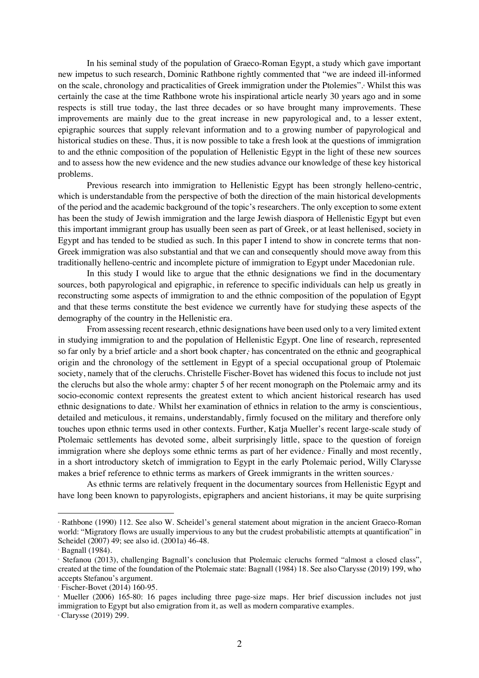In his seminal study of the population of Graeco-Roman Egypt, a study which gave important new impetus to such research, Dominic Rathbone rightly commented that "we are indeed ill-informed on the scale, chronology and practicalities of Greek immigration under the Ptolemies".4 Whilst this was certainly the case at the time Rathbone wrote his inspirational article nearly 30 years ago and in some respects is still true today, the last three decades or so have brought many improvements. These improvements are mainly due to the great increase in new papyrological and, to a lesser extent, epigraphic sources that supply relevant information and to a growing number of papyrological and historical studies on these. Thus, it is now possible to take a fresh look at the questions of immigration to and the ethnic composition of the population of Hellenistic Egypt in the light of these new sources and to assess how the new evidence and the new studies advance our knowledge of these key historical problems.

Previous research into immigration to Hellenistic Egypt has been strongly helleno-centric, which is understandable from the perspective of both the direction of the main historical developments of the period and the academic background of the topic's researchers. The only exception to some extent has been the study of Jewish immigration and the large Jewish diaspora of Hellenistic Egypt but even this important immigrant group has usually been seen as part of Greek, or at least hellenised, society in Egypt and has tended to be studied as such. In this paper I intend to show in concrete terms that non-Greek immigration was also substantial and that we can and consequently should move away from this traditionally helleno-centric and incomplete picture of immigration to Egypt under Macedonian rule.

In this study I would like to argue that the ethnic designations we find in the documentary sources, both papyrological and epigraphic, in reference to specific individuals can help us greatly in reconstructing some aspects of immigration to and the ethnic composition of the population of Egypt and that these terms constitute the best evidence we currently have for studying these aspects of the demography of the country in the Hellenistic era.

From assessing recent research, ethnic designations have been used only to a very limited extent in studying immigration to and the population of Hellenistic Egypt. One line of research, represented so far only by a brief article and a short book chapter, $\frac{1}{2}$  has concentrated on the ethnic and geographical origin and the chronology of the settlement in Egypt of a special occupational group of Ptolemaic society, namely that of the cleruchs. Christelle Fischer-Bovet has widened this focus to include not just the cleruchs but also the whole army: chapter 5 of her recent monograph on the Ptolemaic army and its socio-economic context represents the greatest extent to which ancient historical research has used ethnic designations to date.7 Whilst her examination of ethnics in relation to the army is conscientious, detailed and meticulous, it remains, understandably, firmly focused on the military and therefore only touches upon ethnic terms used in other contexts. Further, Katja Mueller's recent large-scale study of Ptolemaic settlements has devoted some, albeit surprisingly little, space to the question of foreign immigration where she deploys some ethnic terms as part of her evidence.<sup>8</sup> Finally and most recently, in a short introductory sketch of immigration to Egypt in the early Ptolemaic period, Willy Clarysse makes a brief reference to ethnic terms as markers of Greek immigrants in the written sources.

As ethnic terms are relatively frequent in the documentary sources from Hellenistic Egypt and have long been known to papyrologists, epigraphers and ancient historians, it may be quite surprising

<sup>4</sup> Rathbone (1990) 112. See also W. Scheidel's general statement about migration in the ancient Graeco-Roman world: "Migratory flows are usually impervious to any but the crudest probabilistic attempts at quantification" in Scheidel (2007) 49; see also id. (2001a) 46-48.

<sup>5</sup> Bagnall (1984).

<sup>6</sup> Stefanou (2013), challenging Bagnall's conclusion that Ptolemaic cleruchs formed "almost a closed class", created at the time of the foundation of the Ptolemaic state: Bagnall (1984) 18. See also Clarysse (2019) 199, who accepts Stefanou's argument.

<sup>7</sup> Fischer-Bovet (2014) 160-95.

<sup>8</sup> Mueller (2006) 165-80: 16 pages including three page-size maps. Her brief discussion includes not just immigration to Egypt but also emigration from it, as well as modern comparative examples.

<sup>9</sup> Clarysse (2019) 299.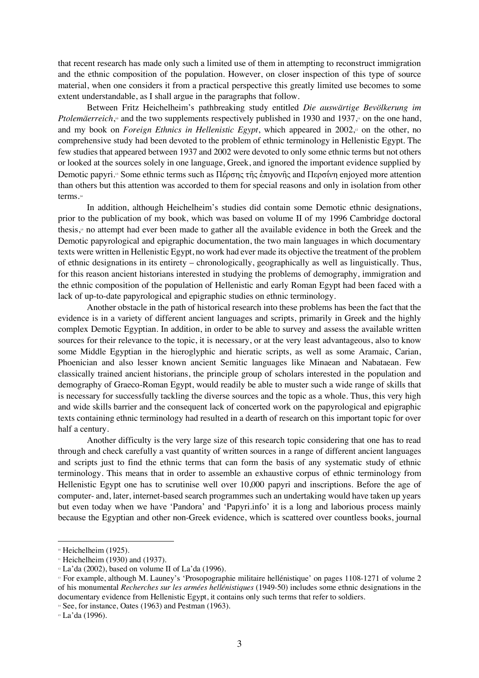that recent research has made only such a limited use of them in attempting to reconstruct immigration and the ethnic composition of the population. However, on closer inspection of this type of source material, when one considers it from a practical perspective this greatly limited use becomes to some extent understandable, as I shall argue in the paragraphs that follow.

Between Fritz Heichelheim's pathbreaking study entitled *Die auswärtige Bevölkerung im Ptolemäerreich*,<sup>®</sup> and the two supplements respectively published in 1930 and 1937,<sup>*n*</sup> on the one hand, and my book on *Foreign Ethnics in Hellenistic Egypt*, which appeared in 2002,<sup>12</sup> on the other, no comprehensive study had been devoted to the problem of ethnic terminology in Hellenistic Egypt. The few studies that appeared between 1937 and 2002 were devoted to only some ethnic terms but not others or looked at the sources solely in one language, Greek, and ignored the important evidence supplied by Demotic papyri.<sup>3</sup> Some ethnic terms such as Πέρσης τῆς ἐπιγονῆς and Περσίνη enjoyed more attention than others but this attention was accorded to them for special reasons and only in isolation from other terms.14

In addition, although Heichelheim's studies did contain some Demotic ethnic designations, prior to the publication of my book, which was based on volume II of my 1996 Cambridge doctoral thesis,15 no attempt had ever been made to gather all the available evidence in both the Greek and the Demotic papyrological and epigraphic documentation, the two main languages in which documentary texts were written in Hellenistic Egypt, no work had ever made its objective the treatment of the problem of ethnic designations in its entirety – chronologically, geographically as well as linguistically. Thus, for this reason ancient historians interested in studying the problems of demography, immigration and the ethnic composition of the population of Hellenistic and early Roman Egypt had been faced with a lack of up-to-date papyrological and epigraphic studies on ethnic terminology.

Another obstacle in the path of historical research into these problems has been the fact that the evidence is in a variety of different ancient languages and scripts, primarily in Greek and the highly complex Demotic Egyptian. In addition, in order to be able to survey and assess the available written sources for their relevance to the topic, it is necessary, or at the very least advantageous, also to know some Middle Egyptian in the hieroglyphic and hieratic scripts, as well as some Aramaic, Carian, Phoenician and also lesser known ancient Semitic languages like Minaean and Nabataean. Few classically trained ancient historians, the principle group of scholars interested in the population and demography of Graeco-Roman Egypt, would readily be able to muster such a wide range of skills that is necessary for successfully tackling the diverse sources and the topic as a whole. Thus, this very high and wide skills barrier and the consequent lack of concerted work on the papyrological and epigraphic texts containing ethnic terminology had resulted in a dearth of research on this important topic for over half a century.

Another difficulty is the very large size of this research topic considering that one has to read through and check carefully a vast quantity of written sources in a range of different ancient languages and scripts just to find the ethnic terms that can form the basis of any systematic study of ethnic terminology. This means that in order to assemble an exhaustive corpus of ethnic terminology from Hellenistic Egypt one has to scrutinise well over 10,000 papyri and inscriptions. Before the age of computer- and, later, internet-based search programmes such an undertaking would have taken up years but even today when we have 'Pandora' and 'Papyri.info' it is a long and laborious process mainly because the Egyptian and other non-Greek evidence, which is scattered over countless books, journal

<sup>&</sup>lt;sup>10</sup> Heichelheim (1925).

 $\text{...}$  Heichelheim (1930) and (1937).

 $\approx$  La'da (2002), based on volume II of La'da (1996).

<sup>&</sup>lt;sup>13</sup> For example, although M. Launey's 'Prosopographie militaire hellénistique' on pages 1108-1271 of volume 2 of his monumental *Recherches sur les armées hellénistiques* (1949-50) includes some ethnic designations in the documentary evidence from Hellenistic Egypt, it contains only such terms that refer to soldiers.

 $\frac{1}{4}$  See, for instance, Oates (1963) and Pestman (1963).

<sup>15</sup> La'da (1996).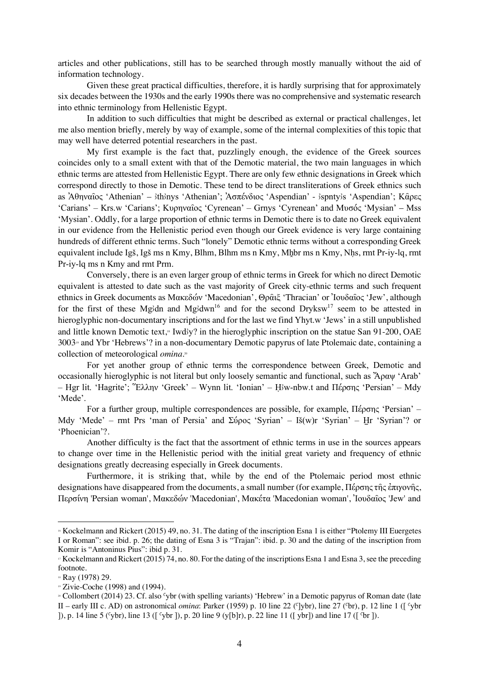articles and other publications, still has to be searched through mostly manually without the aid of information technology.

Given these great practical difficulties, therefore, it is hardly surprising that for approximately six decades between the 1930s and the early 1990s there was no comprehensive and systematic research into ethnic terminology from Hellenistic Egypt.

In addition to such difficulties that might be described as external or practical challenges, let me also mention briefly, merely by way of example, some of the internal complexities of this topic that may well have deterred potential researchers in the past.

My first example is the fact that, puzzlingly enough, the evidence of the Greek sources coincides only to a small extent with that of the Demotic material, the two main languages in which ethnic terms are attested from Hellenistic Egypt. There are only few ethnic designations in Greek which correspond directly to those in Demotic. These tend to be direct transliterations of Greek ethnics such as Ἀθηναῖος 'Athenian' – ithinys 'Athenian'; Ἀσπένδιος 'Aspendian' - ispnty is 'Aspendian'; Κᾶρες 'Carians' – Krs.w 'Carians'; Κυρηναῖος 'Cyrenean' – Grnys 'Cyrenean' and Μυσός 'Mysian' – Mss 'Mysian'. Oddly, for a large proportion of ethnic terms in Demotic there is to date no Greek equivalent in our evidence from the Hellenistic period even though our Greek evidence is very large containing hundreds of different ethnic terms. Such "lonely" Demotic ethnic terms without a corresponding Greek equivalent include Igs, Igs ms n Kmy, Blhm, Blhm ms n Kmy, Mhbr ms n Kmy, Nhs, rmt Pr-iy-lq, rmt Pr-iy-lq ms n Kmy and rmt Prm.

Conversely, there is an even larger group of ethnic terms in Greek for which no direct Demotic equivalent is attested to date such as the vast majority of Greek city-ethnic terms and such frequent ethnics in Greek documents as Μακεδών 'Macedonian', Θρᾶιξ 'Thracian' or 'Ιουδαΐος 'Jew', although for the first of these Mg/dn and Mg/dwn<sup>16</sup> and for the second Dryksw<sup>17</sup> seem to be attested in hieroglyphic non-documentary inscriptions and for the last we find Yhyt.w 'Jews' in a still unpublished and little known Demotic text,<sup>8</sup> Iwd'y? in the hieroglyphic inscription on the statue San 91-200, OAE 3003<sup>9</sup> and Ybr 'Hebrews'? in a non-documentary Demotic papyrus of late Ptolemaic date, containing a collection of meteorological *omina*.20

For yet another group of ethnic terms the correspondence between Greek, Demotic and occasionally hieroglyphic is not literal but only loosely semantic and functional, such as Ἄραψ 'Arab' – !gr lit. 'Hagrite'; Ἕλλην 'Greek' – Wynn lit. 'Ionian' – "#w-nbw.t and Πέρσης 'Persian' – Mdy 'Mede'.

For a further group, multiple correspondences are possible, for example, Πέρσης 'Persian' – Mdy 'Mede' – rmt Prs 'man of Persia' and Σύρος 'Syrian' – Iš(w)r 'Syrian' – Hr 'Syrian'? or 'Phoenician'?.

Another difficulty is the fact that the assortment of ethnic terms in use in the sources appears to change over time in the Hellenistic period with the initial great variety and frequency of ethnic designations greatly decreasing especially in Greek documents.

Furthermore, it is striking that, while by the end of the Ptolemaic period most ethnic designations have disappeared from the documents, a small number (for example, Πέρσης τῆς ἐπιγονῆς, Περσίνη 'Persian woman', Μακεδών 'Macedonian', Μακέτα 'Macedonian woman', Ἰουδαῖος 'Jew' and

<sup>16</sup> Kockelmann and Rickert (2015) 49, no. 31. The dating of the inscription Esna 1 is either "Ptolemy III Euergetes I or Roman": see ibid. p. 26; the dating of Esna 3 is "Trajan": ibid. p. 30 and the dating of the inscription from Komir is "Antoninus Pius": ibid p. 31.

<sup>&</sup>lt;sup>17</sup> Kockelmann and Rickert (2015) 74, no. 80. For the dating of the inscriptions Esna 1 and Esna 3, see the preceding footnote.

<sup>18</sup> Ray (1978) 29.

<sup>&</sup>lt;sup>19</sup> Zivie-Coche (1998) and (1994).

<sup>&</sup>lt;sup>20</sup> Collombert (2014) 23. Cf. also 'vbr (with spelling variants) 'Hebrew' in a Demotic papyrus of Roman date (late II – early III c. AD) on astronomical *omina*: Parker (1959) p. 10 line 22 ( $\lceil \sqrt{b}r \rceil$ ), line 27 ( $\lceil \sqrt{b}r \rceil$ ), p. 12 line 1 ( $\lceil \sqrt{b}r \rceil$ ) ]), p. 14 line 5 (sybr), line 13 ([sybr]), p. 20 line 9 (y[b]r), p. 22 line 11 ([ybr]) and line 17 ([str]).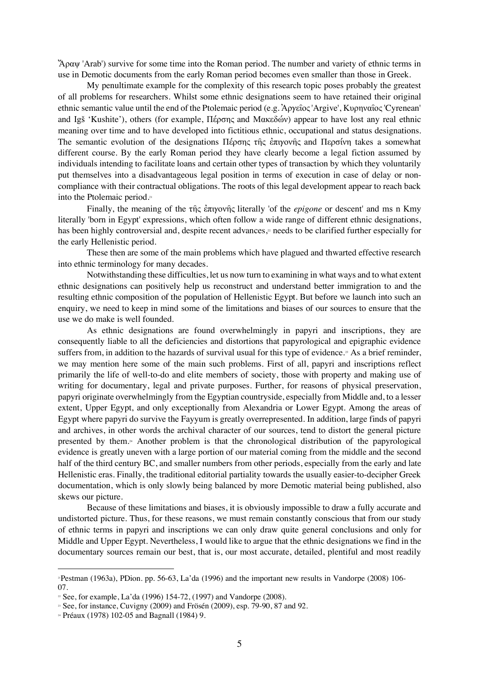$'A$ ραψ 'Arab') survive for some time into the Roman period. The number and variety of ethnic terms in use in Demotic documents from the early Roman period becomes even smaller than those in Greek.

My penultimate example for the complexity of this research topic poses probably the greatest of all problems for researchers. Whilst some ethnic designations seem to have retained their original ethnic semantic value until the end of the Ptolemaic period (e.g. Ἀργεῖος'Argive', Κυρηναῖος'Cyrenean' and IgS 'Kushite'), others (for example, Πέρσης and Μακεδών) appear to have lost any real ethnic meaning over time and to have developed into fictitious ethnic, occupational and status designations. The semantic evolution of the designations Πέρσης της έπιγονής and Περσίνη takes a somewhat different course. By the early Roman period they have clearly become a legal fiction assumed by individuals intending to facilitate loans and certain other types of transaction by which they voluntarily put themselves into a disadvantageous legal position in terms of execution in case of delay or noncompliance with their contractual obligations. The roots of this legal development appear to reach back into the Ptolemaic period.21

Finally, the meaning of the τῆς ἐπιγονῆς literally 'of the *epigone* or descent' and ms n Kmy literally 'born in Egypt' expressions, which often follow a wide range of different ethnic designations, has been highly controversial and, despite recent advances,<sup>2</sup> needs to be clarified further especially for the early Hellenistic period.

These then are some of the main problems which have plagued and thwarted effective research into ethnic terminology for many decades.

Notwithstanding these difficulties, let us now turn to examining in what ways and to what extent ethnic designations can positively help us reconstruct and understand better immigration to and the resulting ethnic composition of the population of Hellenistic Egypt. But before we launch into such an enquiry, we need to keep in mind some of the limitations and biases of our sources to ensure that the use we do make is well founded.

As ethnic designations are found overwhelmingly in papyri and inscriptions, they are consequently liable to all the deficiencies and distortions that papyrological and epigraphic evidence suffers from, in addition to the hazards of survival usual for this type of evidence.<sup>35</sup> As a brief reminder, we may mention here some of the main such problems. First of all, papyri and inscriptions reflect primarily the life of well-to-do and elite members of society, those with property and making use of writing for documentary, legal and private purposes. Further, for reasons of physical preservation, papyri originate overwhelmingly from the Egyptian countryside, especially from Middle and, to a lesser extent, Upper Egypt, and only exceptionally from Alexandria or Lower Egypt. Among the areas of Egypt where papyri do survive the Fayyum is greatly overrepresented. In addition, large finds of papyri and archives, in other words the archival character of our sources, tend to distort the general picture presented by them.24 Another problem is that the chronological distribution of the papyrological evidence is greatly uneven with a large portion of our material coming from the middle and the second half of the third century BC, and smaller numbers from other periods, especially from the early and late Hellenistic eras. Finally, the traditional editorial partiality towards the usually easier-to-decipher Greek documentation, which is only slowly being balanced by more Demotic material being published, also skews our picture.

Because of these limitations and biases, it is obviously impossible to draw a fully accurate and undistorted picture. Thus, for these reasons, we must remain constantly conscious that from our study of ethnic terms in papyri and inscriptions we can only draw quite general conclusions and only for Middle and Upper Egypt. Nevertheless, I would like to argue that the ethnic designations we find in the documentary sources remain our best, that is, our most accurate, detailed, plentiful and most readily

<sup>21</sup>Pestman (1963a), PDion. pp. 56-63, La'da (1996) and the important new results in Vandorpe (2008) 106- 07.<br>  $\approx$  See, for example, La'da (1996) 154-72, (1997) and Vandorpe (2008).

<sup>&</sup>lt;sup>23</sup> See, for instance, Cuvigny (2009) and Frösén (2009), esp. 79-90, 87 and 92.

<sup>24</sup> Préaux (1978) 102-05 and Bagnall (1984) 9.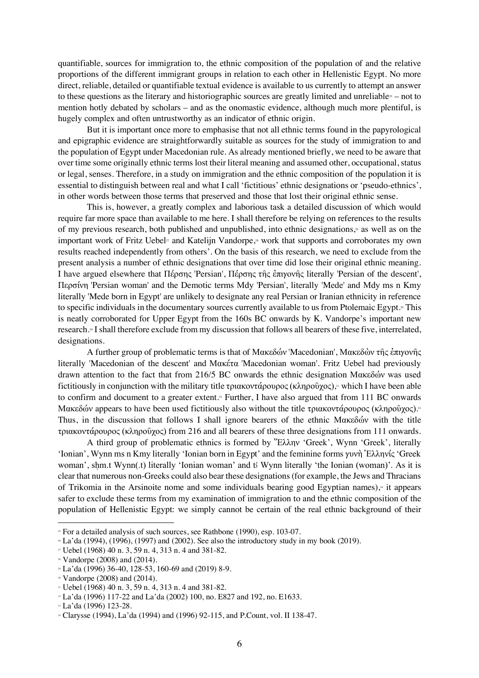quantifiable, sources for immigration to, the ethnic composition of the population of and the relative proportions of the different immigrant groups in relation to each other in Hellenistic Egypt. No more direct, reliable, detailed or quantifiable textual evidence is available to us currently to attempt an answer to these questions as the literary and historiographic sources are greatly limited and unreliable  $\approx$  – not to mention hotly debated by scholars – and as the onomastic evidence, although much more plentiful, is hugely complex and often untrustworthy as an indicator of ethnic origin.

But it is important once more to emphasise that not all ethnic terms found in the papyrological and epigraphic evidence are straightforwardly suitable as sources for the study of immigration to and the population of Egypt under Macedonian rule. As already mentioned briefly, we need to be aware that over time some originally ethnic terms lost their literal meaning and assumed other, occupational, status or legal, senses. Therefore, in a study on immigration and the ethnic composition of the population it is essential to distinguish between real and what I call 'fictitious' ethnic designations or 'pseudo-ethnics', in other words between those terms that preserved and those that lost their original ethnic sense.

This is, however, a greatly complex and laborious task a detailed discussion of which would require far more space than available to me here. I shall therefore be relying on references to the results of my previous research, both published and unpublished, into ethnic designations, $\alpha$  as well as on the important work of Fritz Uebel<sup>27</sup> and Katelijn Vandorpe,<sup>28</sup> work that supports and corroborates my own results reached independently from others'. On the basis of this research, we need to exclude from the present analysis a number of ethnic designations that over time did lose their original ethnic meaning. I have argued elsewhere that Πέρσης 'Persian', Πέρσης τῆς ἐπιγονῆς literally 'Persian of the descent', Περσίνη 'Persian woman' and the Demotic terms Mdy 'Persian', literally 'Mede' and Mdy ms n Kmy literally 'Mede born in Egypt' are unlikely to designate any real Persian or Iranian ethnicity in reference to specific individuals in the documentary sources currently available to us from Ptolemaic Egypt.29 This is neatly corroborated for Upper Egypt from the 160s BC onwards by K. Vandorpe's important new research.<sup>30</sup> I shall therefore exclude from my discussion that follows all bearers of these five, interrelated, designations.

A further group of problematic terms is that of Μακεδών 'Macedonian', Μακεδὼν τῆς ἐπιγονῆς literally 'Macedonian of the descent' and Μακέτα 'Macedonian woman'. Fritz Uebel had previously drawn attention to the fact that from 216/5 BC onwards the ethnic designation Μακεδών was used fictitiously in conjunction with the military title τριακοντάρουρος (κληροῦχος),<sup>31</sup> which I have been able to confirm and document to a greater extent.<sup> $\alpha$ </sup> Further, I have also argued that from 111 BC onwards Mακεδών appears to have been used fictitiously also without the title τριακοντάρουρος (κληροῦχος).<sup>33</sup> Thus, in the discussion that follows I shall ignore bearers of the ethnic Μακεδών with the title τριακοντάρουρος (κληροῦχος) from 216 and all bearers of these three designations from 111 onwards.

A third group of problematic ethnics is formed by Ἕλλην 'Greek', Wynn 'Greek', literally 'Ionian', Wynn ms n Kmy literally 'Ionian born in Egypt' and the feminine forms γυνὴ Ἑλληνίς 'Greek woman', shm.t Wynn(.t) literally 'Ionian woman' and t Wynn literally 'the Ionian (woman)'. As it is clear that numerous non-Greeks could also bear these designations (for example, the Jews and Thracians of Trikomia in the Arsinoite nome and some individuals bearing good Egyptian names), $*$  it appears safer to exclude these terms from my examination of immigration to and the ethnic composition of the population of Hellenistic Egypt: we simply cannot be certain of the real ethnic background of their

<sup>&</sup>lt;sup>25</sup> For a detailed analysis of such sources, see Rathbone (1990), esp. 103-07.<br><sup>26</sup> La'da (1994), (1996), (1997) and (2002). See also the introductory study in my book (2019).

<sup>27</sup> Uebel (1968) 40 n. 3, 59 n. 4, 313 n. 4 and 381-82.

<sup>28</sup> Vandorpe (2008) and (2014).

<sup>29</sup> La'da (1996) 36-40, 128-53, 160-69 and (2019) 8-9.

 $\approx$  Vandorpe (2008) and (2014).

 $\approx$  Uebel (1968) 40 n. 3, 59 n. 4, 313 n. 4 and 381-82.

 $\frac{3}{2}$  La'da (1996) 117-22 and La'da (2002) 100, no. E827 and 192, no. E1633.  $\frac{3}{2}$  La'da (1996) 123-28.

<sup>34</sup> Clarysse (1994), La'da (1994) and (1996) 92-115, and P.Count, vol. II 138-47.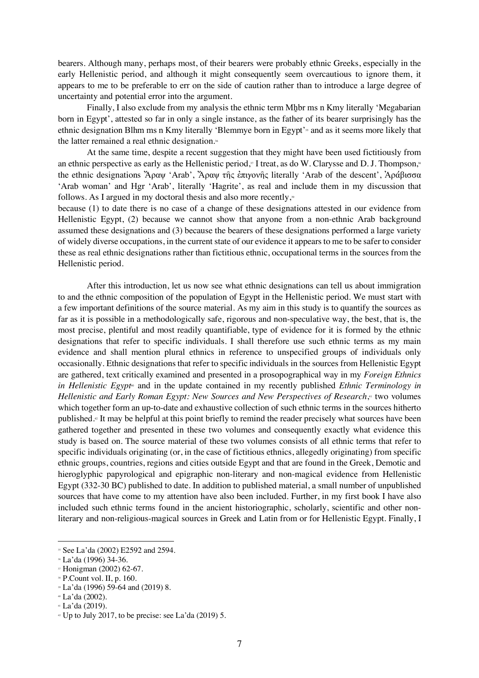bearers. Although many, perhaps most, of their bearers were probably ethnic Greeks, especially in the early Hellenistic period, and although it might consequently seem overcautious to ignore them, it appears to me to be preferable to err on the side of caution rather than to introduce a large degree of uncertainty and potential error into the argument.

Finally, I also exclude from my analysis the ethnic term Mhbr ms n Kmy literally 'Megabarian' born in Egypt', attested so far in only a single instance, as the father of its bearer surprisingly has the ethnic designation Blhm ms n Kmy literally 'Blemmye born in Egypt'<sup>35</sup> and as it seems more likely that the latter remained a real ethnic designation.<sup>36</sup>

At the same time, despite a recent suggestion that they might have been used fictitiously from an ethnic perspective as early as the Hellenistic period,<sup> $\eta$ </sup> I treat, as do W. Clarysse and D. J. Thompson, $\alpha$ the ethnic designations Ἄραψ 'Arab', Ἄραψ τῆς ἐπιγονῆς literally 'Arab of the descent', Ἀράβισσα 'Arab woman' and Hgr 'Arab', literally 'Hagrite', as real and include them in my discussion that follows. As I argued in my doctoral thesis and also more recently, $\frac{30}{2}$ 

because (1) to date there is no case of a change of these designations attested in our evidence from Hellenistic Egypt, (2) because we cannot show that anyone from a non-ethnic Arab background assumed these designations and (3) because the bearers of these designations performed a large variety of widely diverse occupations, in the current state of our evidence it appears to me to be safer to consider these as real ethnic designations rather than fictitious ethnic, occupational terms in the sources from the Hellenistic period.

After this introduction, let us now see what ethnic designations can tell us about immigration to and the ethnic composition of the population of Egypt in the Hellenistic period. We must start with a few important definitions of the source material. As my aim in this study is to quantify the sources as far as it is possible in a methodologically safe, rigorous and non-speculative way, the best, that is, the most precise, plentiful and most readily quantifiable, type of evidence for it is formed by the ethnic designations that refer to specific individuals. I shall therefore use such ethnic terms as my main evidence and shall mention plural ethnics in reference to unspecified groups of individuals only occasionally. Ethnic designations that refer to specific individuals in the sources from Hellenistic Egypt are gathered, text critically examined and presented in a prosopographical way in my *Foreign Ethnics in Hellenistic Egypt*<sup>®</sup> and in the update contained in my recently published *Ethnic Terminology in Hellenistic and Early Roman Egypt: New Sources and New Perspectives of Research*,<sup>41</sup> two volumes which together form an up-to-date and exhaustive collection of such ethnic terms in the sources hitherto published.42 It may be helpful at this point briefly to remind the reader precisely what sources have been gathered together and presented in these two volumes and consequently exactly what evidence this study is based on. The source material of these two volumes consists of all ethnic terms that refer to specific individuals originating (or, in the case of fictitious ethnics, allegedly originating) from specific ethnic groups, countries, regions and cities outside Egypt and that are found in the Greek, Demotic and hieroglyphic papyrological and epigraphic non-literary and non-magical evidence from Hellenistic Egypt (332-30 BC) published to date. In addition to published material, a small number of unpublished sources that have come to my attention have also been included. Further, in my first book I have also included such ethnic terms found in the ancient historiographic, scholarly, scientific and other nonliterary and non-religious-magical sources in Greek and Latin from or for Hellenistic Egypt. Finally, I

<sup>&</sup>lt;sup>35</sup> See La'da (2002) E2592 and 2594.

<sup>36</sup> La'da (1996) 34-36.

<sup>37</sup> Honigman (2002) 62-67.

 $\cdot$  P.Count vol. II, p. 160.

<sup>39</sup> La'da (1996) 59-64 and (2019) 8.

 $\triangleq$  La'da (2002).

<sup>41</sup> La'da (2019).

 $\approx$  Up to July 2017, to be precise: see La'da (2019) 5.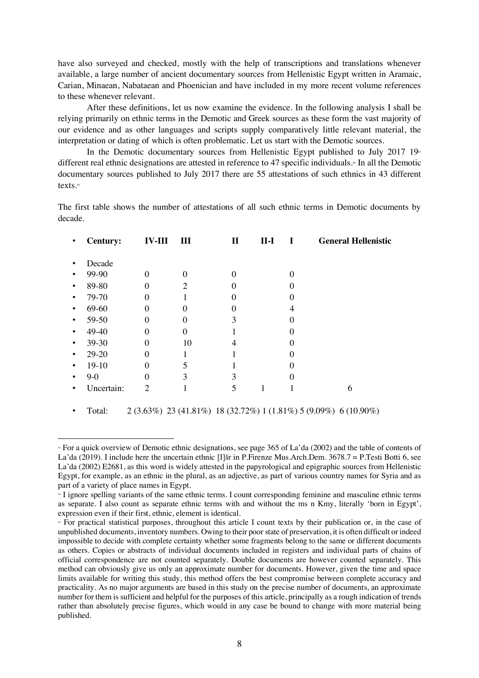have also surveyed and checked, mostly with the help of transcriptions and translations whenever available, a large number of ancient documentary sources from Hellenistic Egypt written in Aramaic, Carian, Minaean, Nabataean and Phoenician and have included in my more recent volume references to these whenever relevant.

After these definitions, let us now examine the evidence. In the following analysis I shall be relying primarily on ethnic terms in the Demotic and Greek sources as these form the vast majority of our evidence and as other languages and scripts supply comparatively little relevant material, the interpretation or dating of which is often problematic. Let us start with the Demotic sources.

In the Demotic documentary sources from Hellenistic Egypt published to July 2017 19<sup>53</sup> different real ethnic designations are attested in reference to 47 specific individuals.<sup>44</sup> In all the Demotic documentary sources published to July 2017 there are 55 attestations of such ethnics in 43 different texts.45

The first table shows the number of attestations of all such ethnic terms in Demotic documents by decade.

|           | <b>Century:</b> | <b>IV-III</b>  | III                         | п             | $II-I$ | I | <b>General Hellenistic</b> |
|-----------|-----------------|----------------|-----------------------------|---------------|--------|---|----------------------------|
| ٠         | Decade          |                |                             |               |        |   |                            |
| ٠         | 99-90           | 0              | 0                           |               |        |   |                            |
| ٠         | 89-80           | 0              | $\mathcal{D}_{\mathcal{L}}$ |               |        |   |                            |
| ٠         | 79-70           | 0              |                             |               |        |   |                            |
| ٠         | 69-60           | 0              | $\mathcal{O}$               |               |        |   |                            |
| $\bullet$ | 59-50           | 0              | 0                           | 3             |        |   |                            |
| $\bullet$ | 49-40           | 0              | 0                           |               |        |   |                            |
| $\bullet$ | 39-30           | 0              | 10                          |               |        |   |                            |
| ٠         | 29-20           | 0              |                             |               |        |   |                            |
| ٠         | $19-10$         | 0              |                             |               |        |   |                            |
| ٠         | $9 - 0$         | 0              | 3                           | 3             |        |   |                            |
|           | Uncertain:      | $\overline{2}$ |                             | $\mathcal{D}$ |        |   | n                          |
|           |                 |                |                             |               |        |   |                            |

Total:  $2(3.63\%)$  23 (41.81%) 18 (32.72%) 1 (1.81%) 5 (9.09%) 6 (10.90%)

<sup>43</sup> For a quick overview of Demotic ethnic designations, see page 365 of La'da (2002) and the table of contents of La'da (2019). I include here the uncertain ethnic [I]sr in P. Firenze Mus. Arch. Dem.  $3678.7 =$  P. Testi Botti 6, see La'da (2002) E2681, as this word is widely attested in the papyrological and epigraphic sources from Hellenistic Egypt, for example, as an ethnic in the plural, as an adjective, as part of various country names for Syria and as part of a variety of place names in Egypt.

<sup>44</sup> I ignore spelling variants of the same ethnic terms. I count corresponding feminine and masculine ethnic terms as separate. I also count as separate ethnic terms with and without the ms n Kmy, literally 'born in Egypt', expression even if their first, ethnic, element is identical.

<sup>45</sup> For practical statistical purposes, throughout this article I count texts by their publication or, in the case of unpublished documents, inventory numbers. Owing to their poor state of preservation, it is often difficult or indeed impossible to decide with complete certainty whether some fragments belong to the same or different documents as others. Copies or abstracts of individual documents included in registers and individual parts of chains of official correspondence are not counted separately. Double documents are however counted separately. This method can obviously give us only an approximate number for documents. However, given the time and space limits available for writing this study, this method offers the best compromise between complete accuracy and practicality. As no major arguments are based in this study on the precise number of documents, an approximate number for them is sufficient and helpful for the purposes of this article, principally as a rough indication of trends rather than absolutely precise figures, which would in any case be bound to change with more material being published.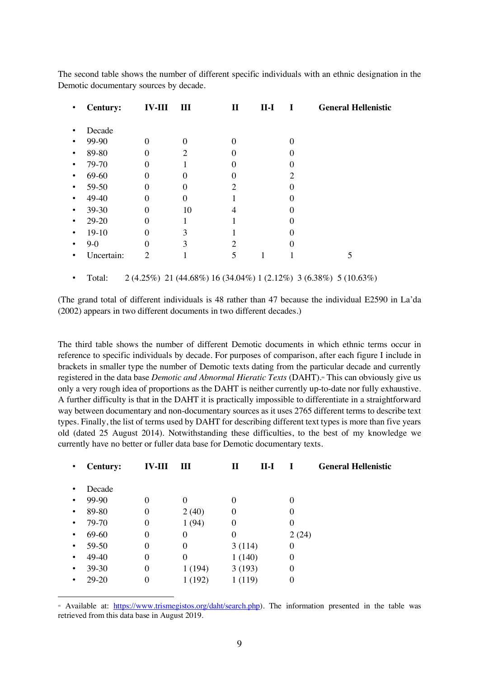The second table shows the number of different specific individuals with an ethnic designation in the Demotic documentary sources by decade.

| $\bullet$ | <b>Century:</b> | <b>IV-III</b> | Ш        | П                           | <b>II-I</b> |   | <b>General Hellenistic</b> |
|-----------|-----------------|---------------|----------|-----------------------------|-------------|---|----------------------------|
|           | Decade          |               |          |                             |             |   |                            |
| ٠         | 99-90           | $\theta$      | $\theta$ |                             |             |   |                            |
| $\bullet$ | 89-80           | 0             | 2        |                             |             |   |                            |
| ٠         | 79-70           | 0             |          |                             |             |   |                            |
| $\bullet$ | 69-60           | 0             | 0        |                             |             | 2 |                            |
| $\bullet$ | 59-50           | 0             | 0        | $\mathcal{D}_{\mathcal{L}}$ |             |   |                            |
| $\bullet$ | 49-40           | 0             | $\Omega$ |                             |             |   |                            |
| $\bullet$ | 39-30           | 0             | 10       |                             |             |   |                            |
| ٠         | 29-20           | $\Omega$      |          |                             |             |   |                            |
| ٠         | $19-10$         | 0             | 3        |                             |             |   |                            |
| ٠         | $9-0$           | 0             | 3        | 2                           |             |   |                            |
|           | Uncertain:      | $\mathcal{D}$ |          | 5                           |             |   |                            |
|           |                 |               |          |                             |             |   |                            |

• Total:  $2(4.25\%)$  21  $(44.68\%)$  16  $(34.04\%)$  1  $(2.12\%)$  3  $(6.38\%)$  5  $(10.63\%)$ 

(The grand total of different individuals is 48 rather than 47 because the individual E2590 in La'da (2002) appears in two different documents in two different decades.)

The third table shows the number of different Demotic documents in which ethnic terms occur in reference to specific individuals by decade. For purposes of comparison, after each figure I include in brackets in smaller type the number of Demotic texts dating from the particular decade and currently registered in the data base *Demotic and Abnormal Hieratic Texts* (DAHT).<sup>46</sup> This can obviously give us only a very rough idea of proportions as the DAHT is neither currently up-to-date nor fully exhaustive. A further difficulty is that in the DAHT it is practically impossible to differentiate in a straightforward way between documentary and non-documentary sources as it uses 2765 different terms to describe text types. Finally, the list of terms used by DAHT for describing different text types is more than five years old (dated 25 August 2014). Notwithstanding these difficulties, to the best of my knowledge we currently have no better or fuller data base for Demotic documentary texts.

| ٠ | <b>Century:</b> | <b>IV-III</b>    | Ш        | П      | 11-I |          | <b>General Hellenistic</b> |
|---|-----------------|------------------|----------|--------|------|----------|----------------------------|
|   |                 |                  |          |        |      |          |                            |
| ٠ | Decade          |                  |          |        |      |          |                            |
| ٠ | 99-90           | 0                | $\theta$ | 0      |      | $\Omega$ |                            |
| ٠ | 89-80           | 0                | 2(40)    | 0      |      | $\theta$ |                            |
|   | 79-70           | 0                | 1(94)    | 0      |      | 0        |                            |
| ٠ | 69-60           | 0                | $\Omega$ | 0      |      | 2(24)    |                            |
| ٠ | 59-50           | 0                | 0        | 3(114) |      | 0        |                            |
|   | 49-40           | 0                | 0        | 1(140) |      | 0        |                            |
| ٠ | 39-30           | $\boldsymbol{0}$ | 1(194)   | 3(193) |      | 0        |                            |
|   | 29-20           | 0                | 1(192)   | 1(119) |      | $\theta$ |                            |
|   |                 |                  |          |        |      |          |                            |

<sup>46</sup> Available at: https://www.trismegistos.org/daht/search.php). The information presented in the table was retrieved from this data base in August 2019.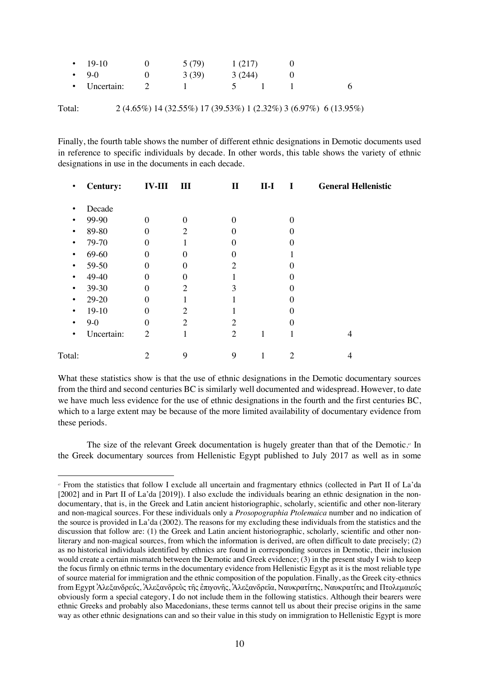| $\cdot$ 19-10 | 5(79) | 1(217) |  |   |
|---------------|-------|--------|--|---|
| $-9-0$        | 3(39) | 3(244) |  |   |
| • Uncertain:  |       |        |  | 6 |
|               |       |        |  |   |

Total: 2 (4.65%) 14 (32.55%) 17 (39.53%) 1 (2.32%) 3 (6.97%) 6 (13.95%)

Finally, the fourth table shows the number of different ethnic designations in Demotic documents used in reference to specific individuals by decade. In other words, this table shows the variety of ethnic designations in use in the documents in each decade.

| $\bullet$ | <b>Century:</b> | <b>IV-III</b> III |                | $\mathbf{I}$                | $II-I$ | $\blacksquare$ | <b>General Hellenistic</b> |
|-----------|-----------------|-------------------|----------------|-----------------------------|--------|----------------|----------------------------|
| ٠         | Decade          |                   |                |                             |        |                |                            |
| $\bullet$ | 99-90           | $\overline{0}$    | $\theta$       | 0                           |        | $\overline{0}$ |                            |
| $\bullet$ | 89-80           | $\Omega$          | $\overline{2}$ | $\mathbf{0}$                |        | 0              |                            |
| $\bullet$ | 79-70           | $\Omega$          |                | 0                           |        | 0              |                            |
| $\bullet$ | 69-60           | $\theta$          | $\Omega$       | 0                           |        |                |                            |
| $\bullet$ | 59-50           | $\theta$          | $\theta$       | $\overline{2}$              |        | 0              |                            |
| $\bullet$ | 49-40           | $\Omega$          | $\Omega$       |                             |        | 0              |                            |
| ٠         | 39-30           | $\theta$          | $\overline{2}$ | 3                           |        | $\overline{0}$ |                            |
| ٠         | 29-20           | $\Omega$          | T              |                             |        | $\overline{0}$ |                            |
| $\bullet$ | $19-10$         | $\theta$          | $\overline{2}$ |                             |        | 0              |                            |
| $\bullet$ | $9 - 0$         | $\theta$          | $\overline{2}$ | $\mathcal{D}_{\mathcal{L}}$ |        | $\theta$       |                            |
| $\bullet$ | Uncertain:      | $\overline{2}$    | 1              | $\overline{2}$              | 1      | 1              | 4                          |
| Total:    |                 | 2                 | 9              | 9                           |        | 2              | 4                          |
|           |                 |                   |                |                             |        |                |                            |

What these statistics show is that the use of ethnic designations in the Demotic documentary sources from the third and second centuries BC is similarly well documented and widespread. However, to date we have much less evidence for the use of ethnic designations in the fourth and the first centuries BC, which to a large extent may be because of the more limited availability of documentary evidence from these periods.

The size of the relevant Greek documentation is hugely greater than that of the Demotic.<sup>47</sup> In the Greek documentary sources from Hellenistic Egypt published to July 2017 as well as in some

<sup>47</sup> From the statistics that follow I exclude all uncertain and fragmentary ethnics (collected in Part II of La'da [2002] and in Part II of La'da [2019]). I also exclude the individuals bearing an ethnic designation in the nondocumentary, that is, in the Greek and Latin ancient historiographic, scholarly, scientific and other non-literary and non-magical sources. For these individuals only a *Prosopographia Ptolemaica* number and no indication of the source is provided in La'da (2002). The reasons for my excluding these individuals from the statistics and the discussion that follow are: (1) the Greek and Latin ancient historiographic, scholarly, scientific and other nonliterary and non-magical sources, from which the information is derived, are often difficult to date precisely; (2) as no historical individuals identified by ethnics are found in corresponding sources in Demotic, their inclusion would create a certain mismatch between the Demotic and Greek evidence; (3) in the present study I wish to keep the focus firmly on ethnic terms in the documentary evidence from Hellenistic Egypt as it is the most reliable type of source material for immigration and the ethnic composition of the population. Finally, as the Greek city-ethnics from Egypt Ἀλεξανδρεύς, Ἀλεξανδρεὺς τῆς ἐπιγονῆς, Ἀλεξανδρεῖα, Ναυκρατίτης, Ναυκρατίτις and Πτολεµαιεύς obviously form a special category, I do not include them in the following statistics. Although their bearers were ethnic Greeks and probably also Macedonians, these terms cannot tell us about their precise origins in the same way as other ethnic designations can and so their value in this study on immigration to Hellenistic Egypt is more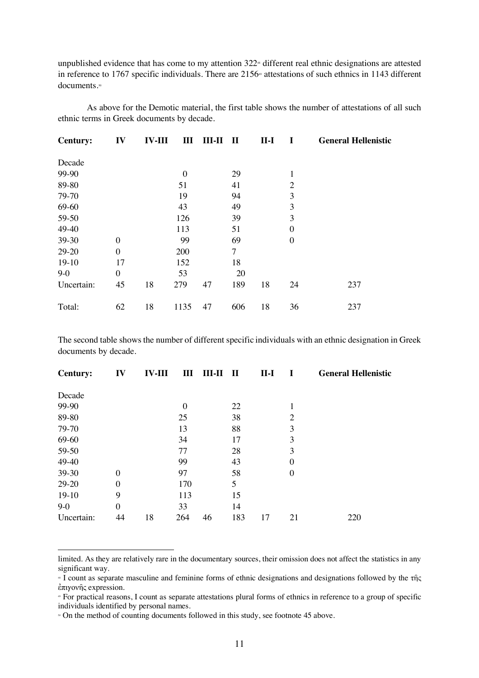unpublished evidence that has come to my attention  $322$ <sup> $\alpha$ </sup> different real ethnic designations are attested in reference to 1767 specific individuals. There are 2156<sup>®</sup> attestations of such ethnics in 1143 different documents.<sup>50</sup>

As above for the Demotic material, the first table shows the number of attestations of all such ethnic terms in Greek documents by decade.

| <b>Century:</b> | IV               | <b>IV-III</b> | Ш              | $III-II$ | П   | $II-I$ |                  | <b>General Hellenistic</b> |
|-----------------|------------------|---------------|----------------|----------|-----|--------|------------------|----------------------------|
| Decade          |                  |               |                |          |     |        |                  |                            |
| 99-90           |                  |               | $\overline{0}$ |          | 29  |        | $\mathbf{1}$     |                            |
| 89-80           |                  |               | 51             |          | 41  |        | $\overline{2}$   |                            |
| 79-70           |                  |               | 19             |          | 94  |        | 3                |                            |
| 69-60           |                  |               | 43             |          | 49  |        | 3                |                            |
| 59-50           |                  |               | 126            |          | 39  |        | 3                |                            |
| 49-40           |                  |               | 113            |          | 51  |        | $\boldsymbol{0}$ |                            |
| 39-30           | $\boldsymbol{0}$ |               | 99             |          | 69  |        | $\boldsymbol{0}$ |                            |
| 29-20           | $\theta$         |               | 200            |          | 7   |        |                  |                            |
| $19-10$         | 17               |               | 152            |          | 18  |        |                  |                            |
| $9-0$           | $\theta$         |               | 53             |          | 20  |        |                  |                            |
| Uncertain:      | 45               | 18            | 279            | 47       | 189 | 18     | 24               | 237                        |
| Total:          | 62               | 18            | 1135           | 47       | 606 | 18     | 36               | 237                        |

The second table shows the number of different specific individuals with an ethnic designation in Greek documents by decade.

| <b>Century:</b> | IV             | <b>IV-III</b> | Ш              | $III-II$ | $\mathbf H$ | $II-I$ |                  | <b>General Hellenistic</b> |
|-----------------|----------------|---------------|----------------|----------|-------------|--------|------------------|----------------------------|
| Decade          |                |               |                |          |             |        |                  |                            |
| 99-90           |                |               | $\overline{0}$ |          | 22          |        | 1                |                            |
| 89-80           |                |               | 25             |          | 38          |        | $\overline{2}$   |                            |
| 79-70           |                |               | 13             |          | 88          |        | 3                |                            |
| 69-60           |                |               | 34             |          | 17          |        | 3                |                            |
| 59-50           |                |               | 77             |          | 28          |        | 3                |                            |
| 49-40           |                |               | 99             |          | 43          |        | $\overline{0}$   |                            |
| 39-30           | $\overline{0}$ |               | 97             |          | 58          |        | $\boldsymbol{0}$ |                            |
| 29-20           | $\theta$       |               | 170            |          | 5           |        |                  |                            |
| $19-10$         | 9              |               | 113            |          | 15          |        |                  |                            |
| $9-0$           | $\overline{0}$ |               | 33             |          | 14          |        |                  |                            |
| Uncertain:      | 44             | 18            | 264            | 46       | 183         | 17     | 21               | 220                        |

limited. As they are relatively rare in the documentary sources, their omission does not affect the statistics in any significant way.

<sup>48</sup> I count as separate masculine and feminine forms of ethnic designations and designations followed by the τῆς έπιγονῆς expression.<br>• For practical reasons, I count as separate attestations plural forms of ethnics in reference to a group of specific

individuals identified by personal names.

<sup>•</sup> On the method of counting documents followed in this study, see footnote 45 above.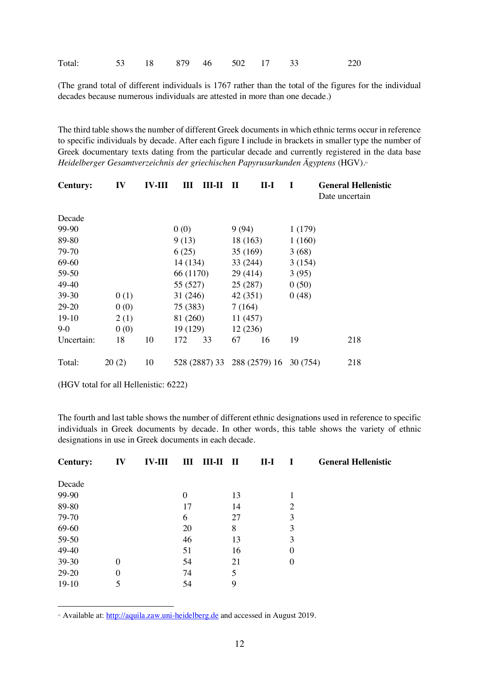| Total: |  | 53 18 879 46 502 17 33 |  |  |  |  |  | 220 |
|--------|--|------------------------|--|--|--|--|--|-----|
|--------|--|------------------------|--|--|--|--|--|-----|

(The grand total of different individuals is 1767 rather than the total of the figures for the individual decades because numerous individuals are attested in more than one decade.)

The third table shows the number of different Greek documents in which ethnic terms occur in reference to specific individuals by decade. After each figure I include in brackets in smaller type the number of Greek documentary texts dating from the particular decade and currently registered in the data base *Heidelberger Gesamtverzeichnis der griechischen Papyrusurkunden Ägyptens* (HGV).51

| <b>Century:</b> | IV    | <b>IV-III</b> | Ш         | ны н          | $\mathbf H$ | $II-I$        | T        | <b>General Hellenistic</b><br>Date uncertain |
|-----------------|-------|---------------|-----------|---------------|-------------|---------------|----------|----------------------------------------------|
| Decade          |       |               |           |               |             |               |          |                                              |
| 99-90           |       |               | 0(0)      |               | 9(94)       |               | 1(179)   |                                              |
| 89-80           |       |               | 9(13)     |               | 18 (163)    |               | 1(160)   |                                              |
| 79-70           |       |               | 6(25)     |               | 35(169)     |               | 3(68)    |                                              |
| 69-60           |       |               | 14 (134)  |               | 33 (244)    |               | 3(154)   |                                              |
| 59-50           |       |               | 66 (1170) |               | 29(414)     |               | 3(95)    |                                              |
| 49-40           |       |               | 55 (527)  |               | 25(287)     |               | 0(50)    |                                              |
| $39-30$         | 0(1)  |               | 31(246)   |               | 42 (351)    |               | 0(48)    |                                              |
| 29-20           | 0(0)  |               | 75 (383)  |               | 7(164)      |               |          |                                              |
| $19-10$         | 2(1)  |               | 81 (260)  |               | 11(457)     |               |          |                                              |
| $9-0$           | 0(0)  |               | 19 (129)  |               | 12(236)     |               |          |                                              |
| Uncertain:      | 18    | 10            | 172       | 33            | 67          | 16            | 19       | 218                                          |
| Total:          | 20(2) | 10            |           | 528 (2887) 33 |             | 288 (2579) 16 | 30 (754) | 218                                          |

(HGV total for all Hellenistic: 6222)

 $\overline{a}$ 

The fourth and last table shows the number of different ethnic designations used in reference to specific individuals in Greek documents by decade. In other words, this table shows the variety of ethnic designations in use in Greek documents in each decade.

| <b>Century:</b> | IV       | <b>IV-III</b> | Ш                | Ш-Н | П  | $II-I$ | $\bf{I}$       | <b>General Hellenistic</b> |
|-----------------|----------|---------------|------------------|-----|----|--------|----------------|----------------------------|
| Decade          |          |               |                  |     |    |        |                |                            |
| 99-90           |          |               | $\boldsymbol{0}$ |     | 13 |        |                |                            |
| 89-80           |          |               | 17               |     | 14 |        | 2              |                            |
| 79-70           |          |               | 6                |     | 27 |        | 3              |                            |
| 69-60           |          |               | 20               |     | 8  |        | 3              |                            |
| 59-50           |          |               | 46               |     | 13 |        | 3              |                            |
| 49-40           |          |               | 51               |     | 16 |        | $\theta$       |                            |
| 39-30           | $\Omega$ |               | 54               |     | 21 |        | $\overline{0}$ |                            |
| 29-20           | 0        |               | 74               |     | 5  |        |                |                            |
| $19-10$         |          |               | 54               |     | 9  |        |                |                            |

<sup>51</sup> Available at: http://aquila.zaw.uni-heidelberg.de and accessed in August 2019.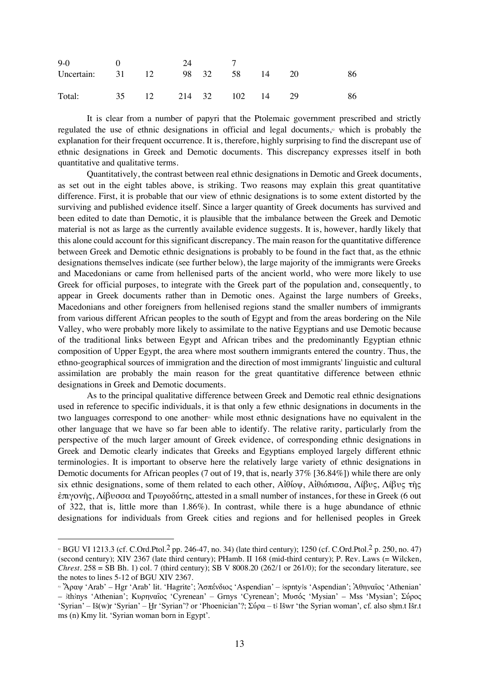| $9-0$ 0                      |  | 24 7 |  |    |  |
|------------------------------|--|------|--|----|--|
| Uncertain: 31 12 98 32 58 14 |  |      |  | 20 |  |
| Total: 35 12 214 32 102 14   |  |      |  | 29 |  |

It is clear from a number of papyri that the Ptolemaic government prescribed and strictly regulated the use of ethnic designations in official and legal documents,<sup>2</sup> which is probably the explanation for their frequent occurrence. It is, therefore, highly surprising to find the discrepant use of ethnic designations in Greek and Demotic documents. This discrepancy expresses itself in both quantitative and qualitative terms.

Quantitatively, the contrast between real ethnic designations in Demotic and Greek documents, as set out in the eight tables above, is striking. Two reasons may explain this great quantitative difference. First, it is probable that our view of ethnic designations is to some extent distorted by the surviving and published evidence itself. Since a larger quantity of Greek documents has survived and been edited to date than Demotic, it is plausible that the imbalance between the Greek and Demotic material is not as large as the currently available evidence suggests. It is, however, hardly likely that this alone could account for this significant discrepancy. The main reason for the quantitative difference between Greek and Demotic ethnic designations is probably to be found in the fact that, as the ethnic designations themselves indicate (see further below), the large majority of the immigrants were Greeks and Macedonians or came from hellenised parts of the ancient world, who were more likely to use Greek for official purposes, to integrate with the Greek part of the population and, consequently, to appear in Greek documents rather than in Demotic ones. Against the large numbers of Greeks, Macedonians and other foreigners from hellenised regions stand the smaller numbers of immigrants from various different African peoples to the south of Egypt and from the areas bordering on the Nile Valley, who were probably more likely to assimilate to the native Egyptians and use Demotic because of the traditional links between Egypt and African tribes and the predominantly Egyptian ethnic composition of Upper Egypt, the area where most southern immigrants entered the country. Thus, the ethno-geographical sources of immigration and the direction of most immigrants' linguistic and cultural assimilation are probably the main reason for the great quantitative difference between ethnic designations in Greek and Demotic documents.

As to the principal qualitative difference between Greek and Demotic real ethnic designations used in reference to specific individuals, it is that only a few ethnic designations in documents in the two languages correspond to one another<sup>33</sup> while most ethnic designations have no equivalent in the other language that we have so far been able to identify. The relative rarity, particularly from the perspective of the much larger amount of Greek evidence, of corresponding ethnic designations in Greek and Demotic clearly indicates that Greeks and Egyptians employed largely different ethnic terminologies. It is important to observe here the relatively large variety of ethnic designations in Demotic documents for African peoples (7 out of 19, that is, nearly 37% [36.84%]) while there are only six ethnic designations, some of them related to each other, Αἰθίοψ, Αἰθιόπισσα, Λίβυς, Λίβυς τῆς ἐπιγονῆς, Λίβυσσα and Τρωγοδύτης, attested in a small number of instances, for these in Greek (6 out of 322, that is, little more than 1.86%). In contrast, while there is a huge abundance of ethnic designations for individuals from Greek cities and regions and for hellenised peoples in Greek

<sup>&</sup>lt;sup>22</sup> BGU VI 1213.3 (cf. C.Ord.Ptol.<sup>2</sup> pp. 246-47, no. 34) (late third century); 1250 (cf. C.Ord.Ptol.<sup>2</sup> p. 250, no. 47) (second century); XIV 2367 (late third century); PHamb. II 168 (mid-third century); P. Rev. Laws (= Wilcken, *Chrest*.  $258 = SB Bh. 1)$  col. 7 (third century); SB V 8008.20 (262/1 or 261/0); for the secondary literature, see the notes to lines 5-12 of BGU XIV 2367.

<sup>&</sup>lt;sup>33</sup> Άραψ 'Arab' – Hgr 'Arab' lit. 'Hagrite'; Ἀσπένδιος 'Aspendian' – 3spnty3s 'Aspendian'; Ἀθηναῖος 'Athenian' – #th#nys 'Athenian'; Κυρηναῖος 'Cyrenean' – Grnys 'Cyrenean'; Μυσός 'Mysian' – Mss 'Mysian'; Σύρος 'Syrian' – Iš(w)r 'Syrian' – Hr 'Syrian'? or 'Phoenician'?; Σύρα – t Išwr 'the Syrian woman', cf. also shm.t Išr.t ms (n) Kmy lit. 'Syrian woman born in Egypt'.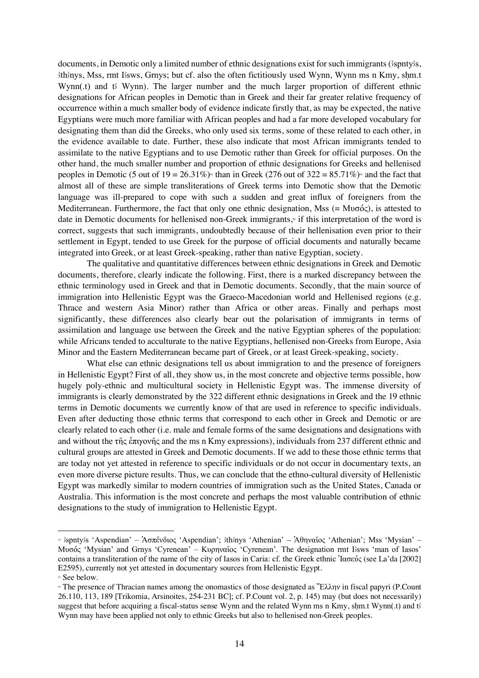documents, in Demotic only a limited number of ethnic designations exist for such immigrants ( $\beta$ spnty $\beta$ s, 3th3nys, Mss, rmt Esws, Grnys; but cf. also the often fictitiously used Wynn, Wynn ms n Kmy, shm.t Wynn( $\text{t}$ ) and  $\text{t}$  Wynn). The larger number and the much larger proportion of different ethnic designations for African peoples in Demotic than in Greek and their far greater relative frequency of occurrence within a much smaller body of evidence indicate firstly that, as may be expected, the native Egyptians were much more familiar with African peoples and had a far more developed vocabulary for designating them than did the Greeks, who only used six terms, some of these related to each other, in the evidence available to date. Further, these also indicate that most African immigrants tended to assimilate to the native Egyptians and to use Demotic rather than Greek for official purposes. On the other hand, the much smaller number and proportion of ethnic designations for Greeks and hellenised peoples in Demotic (5 out of  $19 = 26.31\%$ )<sup>44</sup> than in Greek (276 out of  $322 = 85.71\%$ )<sup>55</sup> and the fact that almost all of these are simple transliterations of Greek terms into Demotic show that the Demotic language was ill-prepared to cope with such a sudden and great influx of foreigners from the Mediterranean. Furthermore, the fact that only one ethnic designation, Mss  $(= M\nu\sigma\acute{o}c)$ , is attested to date in Demotic documents for hellenised non-Greek immigrants,<sup>\*</sup> if this interpretation of the word is correct, suggests that such immigrants, undoubtedly because of their hellenisation even prior to their settlement in Egypt, tended to use Greek for the purpose of official documents and naturally became integrated into Greek, or at least Greek-speaking, rather than native Egyptian, society.

The qualitative and quantitative differences between ethnic designations in Greek and Demotic documents, therefore, clearly indicate the following. First, there is a marked discrepancy between the ethnic terminology used in Greek and that in Demotic documents. Secondly, that the main source of immigration into Hellenistic Egypt was the Graeco-Macedonian world and Hellenised regions (e.g. Thrace and western Asia Minor) rather than Africa or other areas. Finally and perhaps most significantly, these differences also clearly bear out the polarisation of immigrants in terms of assimilation and language use between the Greek and the native Egyptian spheres of the population: while Africans tended to acculturate to the native Egyptians, hellenised non-Greeks from Europe, Asia Minor and the Eastern Mediterranean became part of Greek, or at least Greek-speaking, society.

What else can ethnic designations tell us about immigration to and the presence of foreigners in Hellenistic Egypt? First of all, they show us, in the most concrete and objective terms possible, how hugely poly-ethnic and multicultural society in Hellenistic Egypt was. The immense diversity of immigrants is clearly demonstrated by the 322 different ethnic designations in Greek and the 19 ethnic terms in Demotic documents we currently know of that are used in reference to specific individuals. Even after deducting those ethnic terms that correspond to each other in Greek and Demotic or are clearly related to each other (i.e. male and female forms of the same designations and designations with and without the τῆς ἐπιγονῆς and the ms n Kmy expressions), individuals from 237 different ethnic and cultural groups are attested in Greek and Demotic documents. If we add to these those ethnic terms that are today not yet attested in reference to specific individuals or do not occur in documentary texts, an even more diverse picture results. Thus, we can conclude that the ethno-cultural diversity of Hellenistic Egypt was markedly similar to modern countries of immigration such as the United States, Canada or Australia. This information is the most concrete and perhaps the most valuable contribution of ethnic designations to the study of immigration to Hellenistic Egypt.

 $\frac{1}{2}$  spnty's 'Aspendian' – Ἀσπένδιος 'Aspendian'; 3th nys 'Athenian' – Ἀθηναῖος 'Athenian'; Mss 'Mysian' – Mυσός 'Mysian' and Grnys 'Cyrenean' – Κυρηναΐος 'Cyrenean'. The designation rmt Isws 'man of Iasos' contains a transliteration of the name of the city of Iasos in Caria: cf. the Greek ethnic Ἰασεύς (see La'da [2002] E2595), currently not yet attested in documentary sources from Hellenistic Egypt.

<sup>&</sup>lt;sup>55</sup> See below.

<sup>56</sup> The presence of Thracian names among the onomastics of those designated as Ἕλλην in fiscal papyri (P.Count 26.110, 113, 189 [Trikomia, Arsinoites, 254-231 BC]; cf. P.Count vol. 2, p. 145) may (but does not necessarily) suggest that before acquiring a fiscal-status sense Wynn and the related Wynn ms n Kmy, shm.t Wynn(.t) and the Wynn may have been applied not only to ethnic Greeks but also to hellenised non-Greek peoples.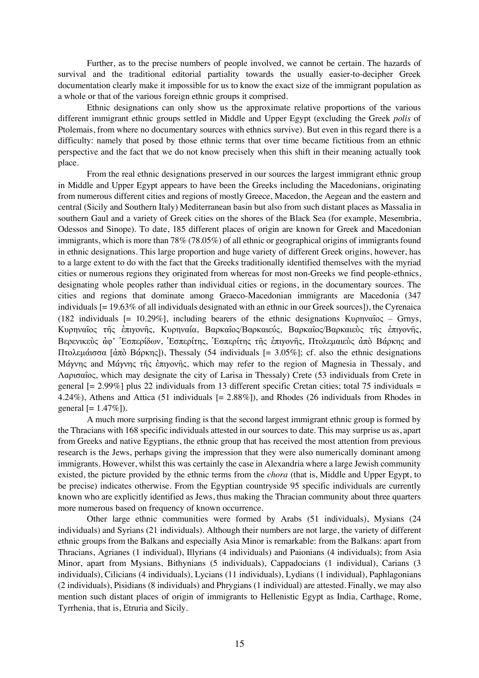Further, as to the precise numbers of people involved, we cannot be certain. The hazards of survival and the traditional editorial partiality towards the usually easier-to-decipher Greek documentation clearly make it impossible for us to know the exact size of the immigrant population as a whole or that of the various foreign ethnic groups it comprised.

Ethnic designations can only show us the approximate relative proportions of the various different immigrant ethnic groups settled in Middle and Upper Egypt (excluding the Greek *polis* of Ptolemais, from where no documentary sources with ethnics survive). But even in this regard there is a difficulty: namely that posed by those ethnic terms that over time became fictitious from an ethnic perspective and the fact that we do not know precisely when this shift in their meaning actually took place.

From the real ethnic designations preserved in our sources the largest immigrant ethnic group in Middle and Upper Egypt appears to have been the Greeks including the Macedonians, originating from numerous different cities and regions of mostly Greece, Macedon, the Aegean and the eastern and central (Sicily and Southern Italy) Mediterranean basin but also from such distant places as Massalia in southern Gaul and a variety of Greek cities on the shores of the Black Sea (for example, Mesembria, Odessos and Sinope). To date, 185 different places of origin are known for Greek and Macedonian immigrants, which is more than 78% (78.05%) of all ethnic or geographical origins of immigrants found in ethnic designations. This large proportion and huge variety of different Greek origins, however, has to a large extent to do with the fact that the Greeks traditionally identified themselves with the myriad cities or numerous regions they originated from whereas for most non-Greeks we find people-ethnics, designating whole peoples rather than individual cities or regions, in the documentary sources. The cities and regions that dominate among Graeco-Macedonian immigrants are Macedonia (347 individuals [= 19.63% of all individuals designated with an ethnic in our Greek sources]), the Cyrenaica (182 individuals  $[= 10.29\%]$ , including bearers of the ethnic designations Κυρηναΐος – Grnys, Κυρηναῖος τῆς ἐπιγονῆς, Κυρηναία, Βαρκαῖος/Βαρκαιεύς, Βαρκαῖος/Βαρκαιεὺς τῆς ἐπιγονῆς, Βερενικεὺς ἀφ' Ἑσπερίδων, Ἑσπερίτης, Ἑσπερίτης τῆς ἐπιγονῆς, Πτολεµαιεὺς ἀπὸ Βάρκης and Πτολεµάισσα [ἀπὸ Βάρκης]), Thessaly (54 individuals [= 3.05%]; cf. also the ethnic designations Μάγνης and Μάγνης τῆς ἐπιγονῆς, which may refer to the region of Magnesia in Thessaly, and Λαρισαῖος, which may designate the city of Larisa in Thessaly) Crete (53 individuals from Crete in general  $[= 2.99\%]$  plus 22 individuals from 13 different specific Cretan cities; total 75 individuals  $=$ 4.24%), Athens and Attica (51 individuals [= 2.88%]), and Rhodes (26 individuals from Rhodes in general  $[= 1.47\%]$ ).

A much more surprising finding is that the second largest immigrant ethnic group is formed by the Thracians with 168 specific individuals attested in our sources to date. This may surprise us as, apart from Greeks and native Egyptians, the ethnic group that has received the most attention from previous research is the Jews, perhaps giving the impression that they were also numerically dominant among immigrants. However, whilst this was certainly the case in Alexandria where a large Jewish community existed, the picture provided by the ethnic terms from the *chora* (that is, Middle and Upper Egypt, to be precise) indicates otherwise. From the Egyptian countryside 95 specific individuals are currently known who are explicitly identified as Jews, thus making the Thracian community about three quarters more numerous based on frequency of known occurrence.

Other large ethnic communities were formed by Arabs (51 individuals), Mysians (24 individuals) and Syrians (21 individuals). Although their numbers are not large, the variety of different ethnic groups from the Balkans and especially Asia Minor is remarkable: from the Balkans: apart from Thracians, Agrianes (1 individual), Illyrians (4 individuals) and Paionians (4 individuals); from Asia Minor, apart from Mysians, Bithynians (5 individuals), Cappadocians (1 individual), Carians (3 individuals), Cilicians (4 individuals), Lycians (11 individuals), Lydians (1 individual), Paphlagonians (2 individuals), Pisidians (8 individuals) and Phrygians (1 individual) are attested. Finally, we may also mention such distant places of origin of immigrants to Hellenistic Egypt as India, Carthage, Rome, Tyrrhenia, that is, Etruria and Sicily.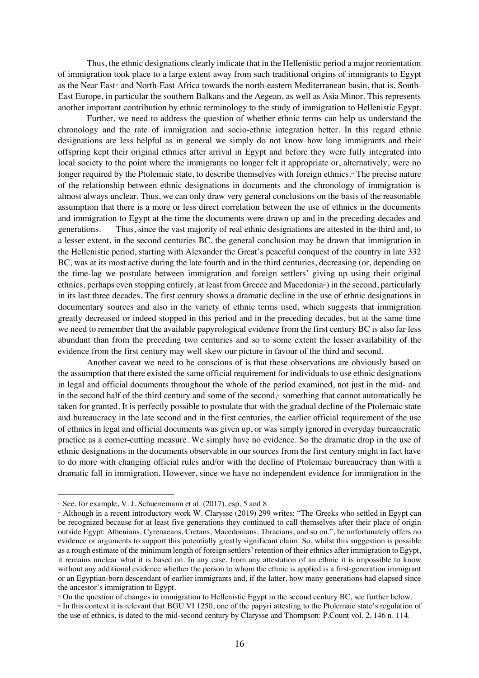Thus, the ethnic designations clearly indicate that in the Hellenistic period a major reorientation of immigration took place to a large extent away from such traditional origins of immigrants to Egypt as the Near East<sup>57</sup> and North-East Africa towards the north-eastern Mediterranean basin, that is, South-East Europe, in particular the southern Balkans and the Aegean, as well as Asia Minor. This represents another important contribution by ethnic terminology to the study of immigration to Hellenistic Egypt.

Further, we need to address the question of whether ethnic terms can help us understand the chronology and the rate of immigration and socio-ethnic integration better. In this regard ethnic designations are less helpful as in general we simply do not know how long immigrants and their offspring kept their original ethnics after arrival in Egypt and before they were fully integrated into local society to the point where the immigrants no longer felt it appropriate or, alternatively, were no longer required by the Ptolemaic state, to describe themselves with foreign ethnics.<sup>8</sup> The precise nature of the relationship between ethnic designations in documents and the chronology of immigration is almost always unclear. Thus, we can only draw very general conclusions on the basis of the reasonable assumption that there is a more or less direct correlation between the use of ethnics in the documents and immigration to Egypt at the time the documents were drawn up and in the preceding decades and generations. Thus, since the vast majority of real ethnic designations are attested in the third and, to a lesser extent, in the second centuries BC, the general conclusion may be drawn that immigration in the Hellenistic period, starting with Alexander the Great's peaceful conquest of the country in late 332 BC, was at its most active during the late fourth and in the third centuries, decreasing (or, depending on the time-lag we postulate between immigration and foreign settlers' giving up using their original ethnics, perhaps even stopping entirely, at least from Greece and Macedonia») in the second, particularly in its last three decades. The first century shows a dramatic decline in the use of ethnic designations in documentary sources and also in the variety of ethnic terms used, which suggests that immigration greatly decreased or indeed stopped in this period and in the preceding decades, but at the same time we need to remember that the available papyrological evidence from the first century BC is also far less abundant than from the preceding two centuries and so to some extent the lesser availability of the evidence from the first century may well skew our picture in favour of the third and second.

Another caveat we need to be conscious of is that these observations are obviously based on the assumption that there existed the same official requirement for individuals to use ethnic designations in legal and official documents throughout the whole of the period examined, not just in the mid- and in the second half of the third century and some of the second, $\phi$  something that cannot automatically be taken for granted. It is perfectly possible to postulate that with the gradual decline of the Ptolemaic state and bureaucracy in the late second and in the first centuries, the earlier official requirement of the use of ethnics in legal and official documents was given up, or was simply ignored in everyday bureaucratic practice as a corner-cutting measure. We simply have no evidence. So the dramatic drop in the use of ethnic designations in the documents observable in our sources from the first century might in fact have to do more with changing official rules and/or with the decline of Ptolemaic bureaucracy than with a dramatic fall in immigration. However, since we have no independent evidence for immigration in the

 $\overline{a}$ 

<sup>59</sup> On the question of changes in immigration to Hellenistic Egypt in the second century BC, see further below.

<sup>&</sup>lt;sup>57</sup> See, for example, V. J. Schuenemann et al. (2017), esp. 5 and 8.

<sup>&</sup>lt;sup>58</sup> Although in a recent introductory work W. Clarysse (2019) 299 writes: "The Greeks who settled in Egypt can be recognized because for at least five generations they continued to call themselves after their place of origin outside Egypt: Athenians, Cyrenaeans, Cretans, Macedonians, Thracians, and so on.", he unfortunately offers no evidence or arguments to support this potentially greatly significant claim. So, whilst this suggestion is possible as a rough estimate of the minimum length of foreign settlers' retention of their ethnics after immigration to Egypt, it remains unclear what it is based on. In any case, from any attestation of an ethnic it is impossible to know without any additional evidence whether the person to whom the ethnic is applied is a first-generation immigrant or an Egyptian-born descendant of earlier immigrants and, if the latter, how many generations had elapsed since the ancestor's immigration to Egypt.

<sup>60</sup> In this context it is relevant that BGU VI 1250, one of the papyri attesting to the Ptolemaic state's regulation of the use of ethnics, is dated to the mid-second century by Clarysse and Thompson: P.Count vol. 2, 146 n. 114.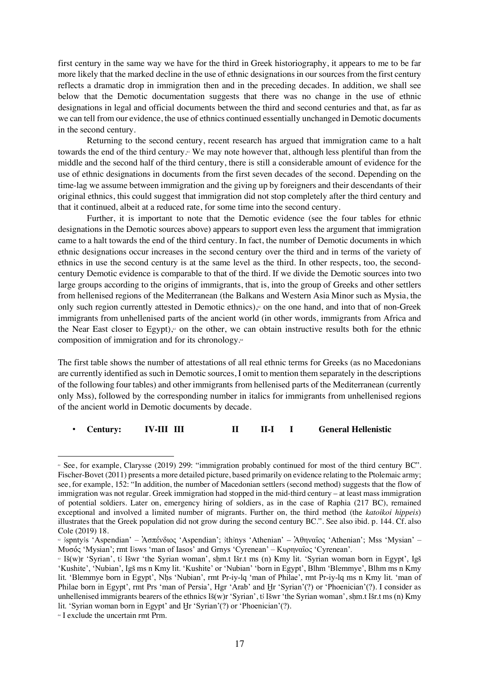first century in the same way we have for the third in Greek historiography, it appears to me to be far more likely that the marked decline in the use of ethnic designations in our sources from the first century reflects a dramatic drop in immigration then and in the preceding decades. In addition, we shall see below that the Demotic documentation suggests that there was no change in the use of ethnic designations in legal and official documents between the third and second centuries and that, as far as we can tell from our evidence, the use of ethnics continued essentially unchanged in Demotic documents in the second century.

Returning to the second century, recent research has argued that immigration came to a halt towards the end of the third century.<sup>61</sup> We may note however that, although less plentiful than from the middle and the second half of the third century, there is still a considerable amount of evidence for the use of ethnic designations in documents from the first seven decades of the second. Depending on the time-lag we assume between immigration and the giving up by foreigners and their descendants of their original ethnics, this could suggest that immigration did not stop completely after the third century and that it continued, albeit at a reduced rate, for some time into the second century.

Further, it is important to note that the Demotic evidence (see the four tables for ethnic designations in the Demotic sources above) appears to support even less the argument that immigration came to a halt towards the end of the third century. In fact, the number of Demotic documents in which ethnic designations occur increases in the second century over the third and in terms of the variety of ethnics in use the second century is at the same level as the third. In other respects, too, the secondcentury Demotic evidence is comparable to that of the third. If we divide the Demotic sources into two large groups according to the origins of immigrants, that is, into the group of Greeks and other settlers from hellenised regions of the Mediterranean (the Balkans and Western Asia Minor such as Mysia, the only such region currently attested in Demotic ethnics), $\epsilon$  on the one hand, and into that of non-Greek immigrants from unhellenised parts of the ancient world (in other words, immigrants from Africa and the Near East closer to Egypt),<sup> $\circ$ </sup> on the other, we can obtain instructive results both for the ethnic composition of immigration and for its chronology.<sup>64</sup>

The first table shows the number of attestations of all real ethnic terms for Greeks (as no Macedonians are currently identified as such in Demotic sources, I omit to mention them separately in the descriptions of the following four tables) and other immigrants from hellenised parts of the Mediterranean (currently only Mss), followed by the corresponding number in italics for immigrants from unhellenised regions of the ancient world in Demotic documents by decade.

#### • **Century: IV-III III II II-I I General Hellenistic**

<sup>61</sup> See, for example, Clarysse (2019) 299: "immigration probably continued for most of the third century BC". Fischer-Bovet (2011) presents a more detailed picture, based primarily on evidence relating to the Ptolemaic army; see, for example, 152: "In addition, the number of Macedonian settlers (second method) suggests that the flow of immigration was not regular. Greek immigration had stopped in the mid-third century – at least mass immigration of potential soldiers. Later on, emergency hiring of soldiers, as in the case of Raphia (217 BC), remained exceptional and involved a limited number of migrants. Further on, the third method (the *katoikoi hippeis*) illustrates that the Greek population did not grow during the second century BC.". See also ibid. p. 144. Cf. also Cole (2019) 18.

<sup>&</sup>lt;sup>«</sup> 3spnty3s 'Aspendian' – Ἀσπένδιος 'Aspendian'; 3th3nys 'Athenian' – Ἀθηναῖος 'Athenian'; Mss 'Mysian' – Μυσός 'Mysian'; rmt I#sws 'man of Iasos' and Grnys 'Cyrenean' – Κυρηναῖος 'Cyrenean'.

<sup>&</sup>lt;sup>63</sup> Iš(w)r 'Syrian', t Išwr 'the Syrian woman', shm.t Išr.t ms (n) Kmy lit. 'Syrian woman born in Egypt', Igš 'Kushite', 'Nubian', IgS ms n Kmy lit. 'Kushite' or 'Nubian' 'born in Egypt', Blhm 'Blemmye', Blhm ms n Kmy lit. 'Blemmye born in Egypt', Nhs 'Nubian', rmt Pr-iy-lq 'man of Philae', rmt Pr-iy-lq ms n Kmy lit. 'man of Philae born in Egypt', rmt Prs 'man of Persia', Hgr 'Arab' and Hr 'Syrian'(?) or 'Phoenician'(?). I consider as unhellenised immigrants bearers of the ethnics  $Is(w)r'Syman'$ , the Syrian woman', shm.t ISr.t ms (n) Kmy lit. 'Syrian woman born in Egypt' and Hr 'Syrian'(?) or 'Phoenician'(?).

<sup>64</sup> I exclude the uncertain rmt Prm.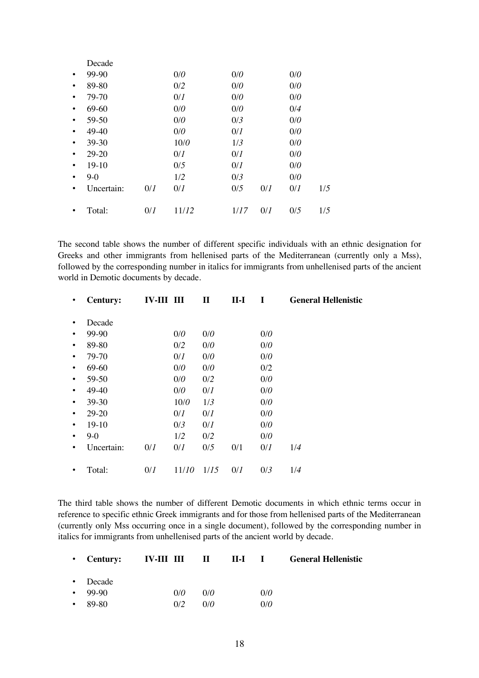|           | Decade     |     |       |      |     |     |     |
|-----------|------------|-----|-------|------|-----|-----|-----|
| $\bullet$ | $99-90$    |     | 0/0   | 0/0  |     | 0/0 |     |
| $\bullet$ | 89-80      |     | 0/2   | 0/0  |     | 0/0 |     |
| $\bullet$ | 79-70      |     | 0/1   | 0/0  |     | 0/0 |     |
| $\bullet$ | 69-60      |     | 0/0   | 0/0  |     | 0/4 |     |
| $\bullet$ | 59-50      |     | 0/0   | 0/3  |     | 0/0 |     |
| $\bullet$ | 49-40      |     | 0/0   | 0/I  |     | 0/0 |     |
| $\bullet$ | $39 - 30$  |     | 10/0  | 1/3  |     | 0/0 |     |
| $\bullet$ | $29 - 20$  |     | 0/1   | 0/I  |     | 0/0 |     |
| $\bullet$ | $19-10$    |     | 0/5   | 0/I  |     | 0/0 |     |
| $\bullet$ | $9-0$      |     | 1/2   | 0/3  |     | 0/0 |     |
| $\bullet$ | Uncertain: | 0/I | 0/1   | 0/5  | 0/I | 0/1 | 1/5 |
| ٠         | Total:     | 0/I | 11/12 | 1/17 | 0/1 | 0/5 | 1/5 |
|           |            |     |       |      |     |     |     |

The second table shows the number of different specific individuals with an ethnic designation for Greeks and other immigrants from hellenised parts of the Mediterranean (currently only a Mss), followed by the corresponding number in italics for immigrants from unhellenised parts of the ancient world in Demotic documents by decade.

| ٠         | <b>Century:</b> | <b>IV-III III</b> |       | $\mathbf{I}$ | $II-I$ | I   | <b>General Hellenistic</b> |
|-----------|-----------------|-------------------|-------|--------------|--------|-----|----------------------------|
|           | Decade          |                   |       |              |        |     |                            |
| $\bullet$ | 99-90           |                   | 0/0   | 0/0          |        | 0/0 |                            |
| $\bullet$ | 89-80           |                   | 0/2   | 0/0          |        | 0/0 |                            |
|           | 79-70           |                   | 0/I   | 0/0          |        | 0/0 |                            |
| $\bullet$ | 69-60           |                   | 0/0   | 0/0          |        | 0/2 |                            |
| $\bullet$ | 59-50           |                   | 0/0   | 0/2          |        | 0/0 |                            |
|           | 49-40           |                   | 0/0   | 0/I          |        | 0/0 |                            |
| $\bullet$ | 39-30           |                   | 10/0  | 1/3          |        | 0/0 |                            |
| ٠         | $29 - 20$       |                   | 0/I   | 0/I          |        | 0/0 |                            |
| ٠         | $19-10$         |                   | 0/3   | 0/I          |        | 0/0 |                            |
| $\bullet$ | $9-0$           |                   | 1/2   | 0/2          |        | 0/0 |                            |
| ٠         | Uncertain:      | 0/I               | 0/1   | 0/5          | 0/1    | 0/1 | 1/4                        |
|           | Total:          | 0/I               | 11/10 | 1/15         | 0/I    | 0/3 | 1/4                        |
|           |                 |                   |       |              |        |     |                            |

The third table shows the number of different Demotic documents in which ethnic terms occur in reference to specific ethnic Greek immigrants and for those from hellenised parts of the Mediterranean (currently only Mss occurring once in a single document), followed by the corresponding number in italics for immigrants from unhellenised parts of the ancient world by decade.

|               |     |     |     | • Century: IV-III III II II-I I General Hellenistic |
|---------------|-----|-----|-----|-----------------------------------------------------|
| • Decade      |     |     |     |                                                     |
| $-99-90$      | 0/0 | 0/0 | 0/0 |                                                     |
| $\cdot$ 89-80 | 0/2 | 0/0 | 0/0 |                                                     |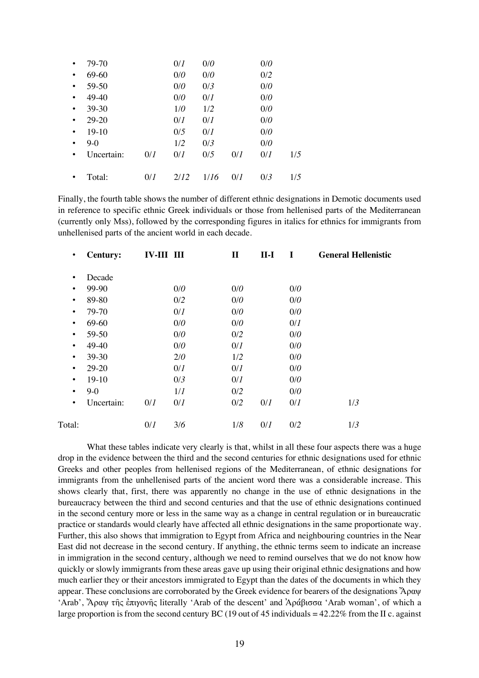| $\bullet$ | 79-70      |     | 0/I  | 0/0  |     | 0/0 |     |
|-----------|------------|-----|------|------|-----|-----|-----|
| $\bullet$ | 69-60      |     | 0/0  | 0/0  |     | 0/2 |     |
| $\bullet$ | 59-50      |     | 0/0  | 0/3  |     | 0/0 |     |
| $\bullet$ | 49-40      |     | 0/0  | 0/1  |     | 0/0 |     |
| $\bullet$ | 39-30      |     | 1/0  | 1/2  |     | 0/0 |     |
| $\bullet$ | $29 - 20$  |     | 0/I  | 0/I  |     | 0/0 |     |
| $\bullet$ | 19-10      |     | 0/5  | 0/1  |     | 0/0 |     |
| $\bullet$ | $9-0$      |     | 1/2  | 0/3  |     | 0/0 |     |
| $\bullet$ | Uncertain: | 0/I | 0/I  | 0/5  | 0/1 | 0/I | 1/5 |
|           |            |     |      |      |     |     |     |
|           | Total:     | 0/I | 2/12 | 1/16 | 0/1 | 0/3 | 1/5 |

Finally, the fourth table shows the number of different ethnic designations in Demotic documents used in reference to specific ethnic Greek individuals or those from hellenised parts of the Mediterranean (currently only Mss), followed by the corresponding figures in italics for ethnics for immigrants from unhellenised parts of the ancient world in each decade.

| $\bullet$ | <b>Century:</b> | <b>IV-III III</b> |     | $\mathbf{I}$ | $II-I$ | I   | <b>General Hellenistic</b> |
|-----------|-----------------|-------------------|-----|--------------|--------|-----|----------------------------|
| $\bullet$ | Decade          |                   |     |              |        |     |                            |
| $\bullet$ | 99-90           |                   | 0/0 | 0/0          |        | 0/0 |                            |
| $\bullet$ | 89-80           |                   | 0/2 | 0/0          |        | 0/0 |                            |
| $\bullet$ | 79-70           |                   | 0/I | 0/0          |        | 0/0 |                            |
| $\bullet$ | 69-60           |                   | 0/0 | 0/0          |        | 0/I |                            |
| $\bullet$ | 59-50           |                   | 0/0 | 0/2          |        | 0/0 |                            |
| $\bullet$ | 49-40           |                   | 0/0 | 0/I          |        | 0/0 |                            |
| $\bullet$ | 39-30           |                   | 2/0 | 1/2          |        | 0/0 |                            |
| $\bullet$ | 29-20           |                   | 0/I | 0/I          |        | 0/0 |                            |
| $\bullet$ | $19-10$         |                   | 0/3 | 0/I          |        | 0/0 |                            |
| $\bullet$ | $9-0$           |                   | 1/I | 0/2          |        | 0/0 |                            |
| $\bullet$ | Uncertain:      | 0/I               | 0/I | 0/2          | 0/I    | 0/I | 1/3                        |
| Total:    |                 | 0/1               | 3/6 | 1/8          | 0/I    | 0/2 | 1/3                        |

What these tables indicate very clearly is that, whilst in all these four aspects there was a huge drop in the evidence between the third and the second centuries for ethnic designations used for ethnic Greeks and other peoples from hellenised regions of the Mediterranean, of ethnic designations for immigrants from the unhellenised parts of the ancient word there was a considerable increase. This shows clearly that, first, there was apparently no change in the use of ethnic designations in the bureaucracy between the third and second centuries and that the use of ethnic designations continued in the second century more or less in the same way as a change in central regulation or in bureaucratic practice or standards would clearly have affected all ethnic designations in the same proportionate way. Further, this also shows that immigration to Egypt from Africa and neighbouring countries in the Near East did not decrease in the second century. If anything, the ethnic terms seem to indicate an increase in immigration in the second century, although we need to remind ourselves that we do not know how quickly or slowly immigrants from these areas gave up using their original ethnic designations and how much earlier they or their ancestors immigrated to Egypt than the dates of the documents in which they appear. These conclusions are corroborated by the Greek evidence for bearers of the designations Ἄραψ 'Arab', Ἄραψ τῆς ἐπιγονῆς literally 'Arab of the descent' and Ἀράβισσα 'Arab woman', of which a large proportion is from the second century BC (19 out of 45 individuals  $= 42.22\%$  from the II c. against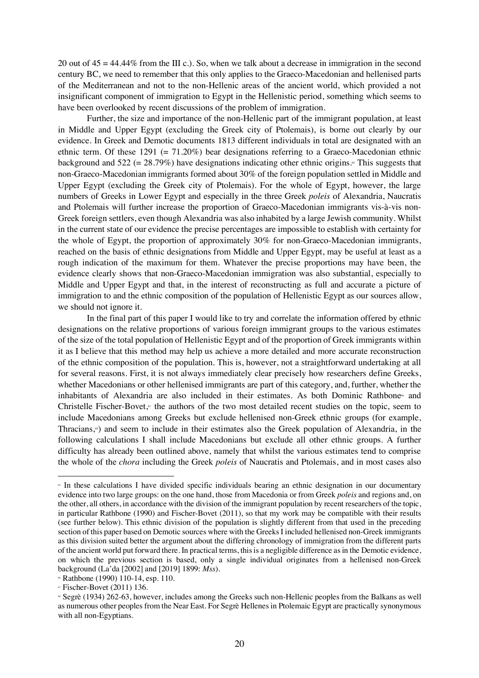20 out of 45 = 44.44% from the III c.). So, when we talk about a decrease in immigration in the second century BC, we need to remember that this only applies to the Graeco-Macedonian and hellenised parts of the Mediterranean and not to the non-Hellenic areas of the ancient world, which provided a not insignificant component of immigration to Egypt in the Hellenistic period, something which seems to have been overlooked by recent discussions of the problem of immigration.

Further, the size and importance of the non-Hellenic part of the immigrant population, at least in Middle and Upper Egypt (excluding the Greek city of Ptolemais), is borne out clearly by our evidence. In Greek and Demotic documents 1813 different individuals in total are designated with an ethnic term. Of these  $1291 (= 71.20%)$  bear designations referring to a Graeco-Macedonian ethnic background and 522 (=  $28.79\%$ ) have designations indicating other ethnic origins.<sup>®</sup> This suggests that non-Graeco-Macedonian immigrants formed about 30% of the foreign population settled in Middle and Upper Egypt (excluding the Greek city of Ptolemais). For the whole of Egypt, however, the large numbers of Greeks in Lower Egypt and especially in the three Greek *poleis* of Alexandria, Naucratis and Ptolemais will further increase the proportion of Graeco-Macedonian immigrants vis-à-vis non-Greek foreign settlers, even though Alexandria was also inhabited by a large Jewish community. Whilst in the current state of our evidence the precise percentages are impossible to establish with certainty for the whole of Egypt, the proportion of approximately 30% for non-Graeco-Macedonian immigrants, reached on the basis of ethnic designations from Middle and Upper Egypt, may be useful at least as a rough indication of the maximum for them. Whatever the precise proportions may have been, the evidence clearly shows that non-Graeco-Macedonian immigration was also substantial, especially to Middle and Upper Egypt and that, in the interest of reconstructing as full and accurate a picture of immigration to and the ethnic composition of the population of Hellenistic Egypt as our sources allow, we should not ignore it.

In the final part of this paper I would like to try and correlate the information offered by ethnic designations on the relative proportions of various foreign immigrant groups to the various estimates of the size of the total population of Hellenistic Egypt and of the proportion of Greek immigrants within it as I believe that this method may help us achieve a more detailed and more accurate reconstruction of the ethnic composition of the population. This is, however, not a straightforward undertaking at all for several reasons. First, it is not always immediately clear precisely how researchers define Greeks, whether Macedonians or other hellenised immigrants are part of this category, and, further, whether the inhabitants of Alexandria are also included in their estimates. As both Dominic Rathbone<sup>®</sup> and Christelle Fischer-Bovet,<sup>*o*</sup> the authors of the two most detailed recent studies on the topic, seem to include Macedonians among Greeks but exclude hellenised non-Greek ethnic groups (for example, Thracians,68) and seem to include in their estimates also the Greek population of Alexandria, in the following calculations I shall include Macedonians but exclude all other ethnic groups. A further difficulty has already been outlined above, namely that whilst the various estimates tend to comprise the whole of the *chora* including the Greek *poleis* of Naucratis and Ptolemais, and in most cases also

<sup>65</sup> In these calculations I have divided specific individuals bearing an ethnic designation in our documentary evidence into two large groups: on the one hand, those from Macedonia or from Greek *poleis* and regions and, on the other, all others, in accordance with the division of the immigrant population by recent researchers of the topic, in particular Rathbone (1990) and Fischer-Bovet (2011), so that my work may be compatible with their results (see further below). This ethnic division of the population is slightly different from that used in the preceding section of this paper based on Demotic sources where with the Greeks I included hellenised non-Greek immigrants as this division suited better the argument about the differing chronology of immigration from the different parts of the ancient world put forward there. In practical terms, this is a negligible difference as in the Demotic evidence, on which the previous section is based, only a single individual originates from a hellenised non-Greek background (La'da [2002] and [2019] 1899: *Mss*).

<sup>&</sup>lt;sup>6</sup> Rathbone (1990) 110-14, esp. 110.<br><sup>6</sup> Fischer-Bovet (2011) 136.

<sup>68</sup> Segrè (1934) 262-63, however, includes among the Greeks such non-Hellenic peoples from the Balkans as well as numerous other peoples from the Near East. For Segrè Hellenes in Ptolemaic Egypt are practically synonymous with all non-Egyptians.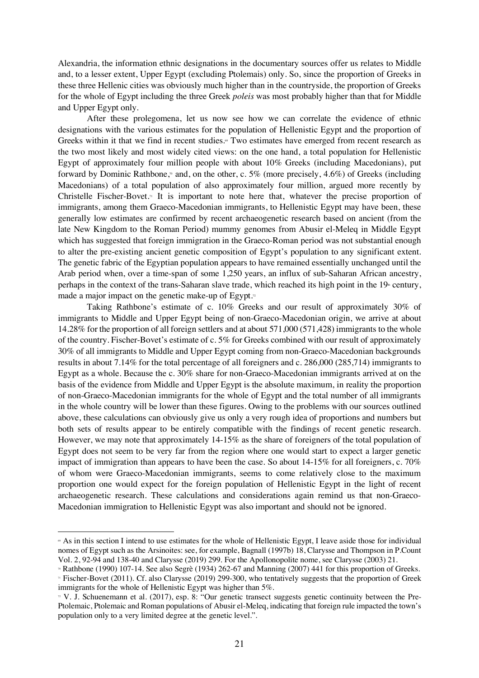Alexandria, the information ethnic designations in the documentary sources offer us relates to Middle and, to a lesser extent, Upper Egypt (excluding Ptolemais) only. So, since the proportion of Greeks in these three Hellenic cities was obviously much higher than in the countryside, the proportion of Greeks for the whole of Egypt including the three Greek *poleis* was most probably higher than that for Middle and Upper Egypt only.

After these prolegomena, let us now see how we can correlate the evidence of ethnic designations with the various estimates for the population of Hellenistic Egypt and the proportion of Greeks within it that we find in recent studies.<sup>®</sup> Two estimates have emerged from recent research as the two most likely and most widely cited views: on the one hand, a total population for Hellenistic Egypt of approximately four million people with about 10% Greeks (including Macedonians), put forward by Dominic Rathbone,<sup>n</sup> and, on the other, c. 5% (more precisely, 4.6%) of Greeks (including Macedonians) of a total population of also approximately four million, argued more recently by Christelle Fischer-Bovet.71 It is important to note here that, whatever the precise proportion of immigrants, among them Graeco-Macedonian immigrants, to Hellenistic Egypt may have been, these generally low estimates are confirmed by recent archaeogenetic research based on ancient (from the late New Kingdom to the Roman Period) mummy genomes from Abusir el-Meleq in Middle Egypt which has suggested that foreign immigration in the Graeco-Roman period was not substantial enough to alter the pre-existing ancient genetic composition of Egypt's population to any significant extent. The genetic fabric of the Egyptian population appears to have remained essentially unchanged until the Arab period when, over a time-span of some 1,250 years, an influx of sub-Saharan African ancestry, perhaps in the context of the trans-Saharan slave trade, which reached its high point in the  $19<sup>th</sup>$  century, made a major impact on the genetic make-up of Egypt.<sup> $\alpha$ </sup>

Taking Rathbone's estimate of c. 10% Greeks and our result of approximately 30% of immigrants to Middle and Upper Egypt being of non-Graeco-Macedonian origin, we arrive at about 14.28% for the proportion of all foreign settlers and at about 571,000 (571,428) immigrants to the whole of the country. Fischer-Bovet's estimate of c. 5% for Greeks combined with our result of approximately 30% of all immigrants to Middle and Upper Egypt coming from non-Graeco-Macedonian backgrounds results in about 7.14% for the total percentage of all foreigners and c. 286,000 (285,714) immigrants to Egypt as a whole. Because the c. 30% share for non-Graeco-Macedonian immigrants arrived at on the basis of the evidence from Middle and Upper Egypt is the absolute maximum, in reality the proportion of non-Graeco-Macedonian immigrants for the whole of Egypt and the total number of all immigrants in the whole country will be lower than these figures. Owing to the problems with our sources outlined above, these calculations can obviously give us only a very rough idea of proportions and numbers but both sets of results appear to be entirely compatible with the findings of recent genetic research. However, we may note that approximately 14-15% as the share of foreigners of the total population of Egypt does not seem to be very far from the region where one would start to expect a larger genetic impact of immigration than appears to have been the case. So about 14-15% for all foreigners, c. 70% of whom were Graeco-Macedonian immigrants, seems to come relatively close to the maximum proportion one would expect for the foreign population of Hellenistic Egypt in the light of recent archaeogenetic research. These calculations and considerations again remind us that non-Graeco-Macedonian immigration to Hellenistic Egypt was also important and should not be ignored.

<sup>69</sup> As in this section I intend to use estimates for the whole of Hellenistic Egypt, I leave aside those for individual nomes of Egypt such as the Arsinoites: see, for example, Bagnall (1997b) 18, Clarysse and Thompson in P.Count Vol. 2, 92-94 and 138-40 and Clarysse (2019) 299. For the Apollonopolite nome, see Clarysse (2003) 21.

<sup>70</sup> Rathbone (1990) 107-14. See also Segrè (1934) 262-67 and Manning (2007) 441 for this proportion of Greeks.

<sup>71</sup> Fischer-Bovet (2011). Cf. also Clarysse (2019) 299-300, who tentatively suggests that the proportion of Greek immigrants for the whole of Hellenistic Egypt was higher than 5%.

<sup>&</sup>lt;sup>22</sup> V. J. Schuenemann et al. (2017), esp. 8: "Our genetic transect suggests genetic continuity between the Pre-Ptolemaic, Ptolemaic and Roman populations of Abusir el-Meleq, indicating that foreign rule impacted the town's population only to a very limited degree at the genetic level.".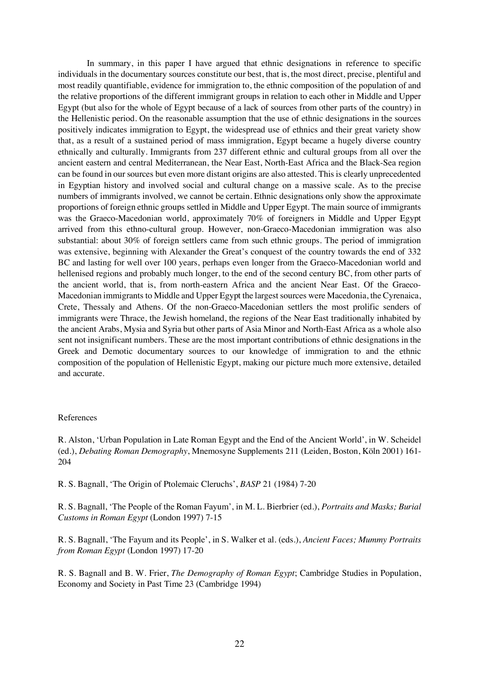In summary, in this paper I have argued that ethnic designations in reference to specific individuals in the documentary sources constitute our best, that is, the most direct, precise, plentiful and most readily quantifiable, evidence for immigration to, the ethnic composition of the population of and the relative proportions of the different immigrant groups in relation to each other in Middle and Upper Egypt (but also for the whole of Egypt because of a lack of sources from other parts of the country) in the Hellenistic period. On the reasonable assumption that the use of ethnic designations in the sources positively indicates immigration to Egypt, the widespread use of ethnics and their great variety show that, as a result of a sustained period of mass immigration, Egypt became a hugely diverse country ethnically and culturally. Immigrants from 237 different ethnic and cultural groups from all over the ancient eastern and central Mediterranean, the Near East, North-East Africa and the Black-Sea region can be found in our sources but even more distant origins are also attested. This is clearly unprecedented in Egyptian history and involved social and cultural change on a massive scale. As to the precise numbers of immigrants involved, we cannot be certain. Ethnic designations only show the approximate proportions of foreign ethnic groups settled in Middle and Upper Egypt. The main source of immigrants was the Graeco-Macedonian world, approximately 70% of foreigners in Middle and Upper Egypt arrived from this ethno-cultural group. However, non-Graeco-Macedonian immigration was also substantial: about 30% of foreign settlers came from such ethnic groups. The period of immigration was extensive, beginning with Alexander the Great's conquest of the country towards the end of 332 BC and lasting for well over 100 years, perhaps even longer from the Graeco-Macedonian world and hellenised regions and probably much longer, to the end of the second century BC, from other parts of the ancient world, that is, from north-eastern Africa and the ancient Near East. Of the Graeco-Macedonian immigrants to Middle and Upper Egypt the largest sources were Macedonia, the Cyrenaica, Crete, Thessaly and Athens. Of the non-Graeco-Macedonian settlers the most prolific senders of immigrants were Thrace, the Jewish homeland, the regions of the Near East traditionally inhabited by the ancient Arabs, Mysia and Syria but other parts of Asia Minor and North-East Africa as a whole also sent not insignificant numbers. These are the most important contributions of ethnic designations in the Greek and Demotic documentary sources to our knowledge of immigration to and the ethnic composition of the population of Hellenistic Egypt, making our picture much more extensive, detailed and accurate.

#### References

R. Alston, 'Urban Population in Late Roman Egypt and the End of the Ancient World', in W. Scheidel (ed.), *Debating Roman Demography*, Mnemosyne Supplements 211 (Leiden, Boston, Köln 2001) 161- 204

R. S. Bagnall, 'The Origin of Ptolemaic Cleruchs', *BASP* 21 (1984) 7-20

R. S. Bagnall, 'The People of the Roman Fayum', in M. L. Bierbrier (ed.), *Portraits and Masks; Burial Customs in Roman Egypt* (London 1997) 7-15

R. S. Bagnall, 'The Fayum and its People', in S. Walker et al. (eds.), *Ancient Faces; Mummy Portraits from Roman Egypt* (London 1997) 17-20

R. S. Bagnall and B. W. Frier, *The Demography of Roman Egypt*; Cambridge Studies in Population, Economy and Society in Past Time 23 (Cambridge 1994)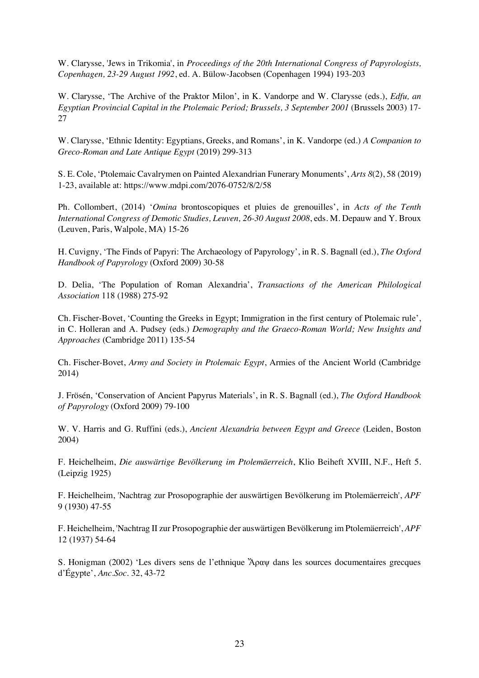W. Clarysse, 'Jews in Trikomia', in *Proceedings of the 20th International Congress of Papyrologists, Copenhagen, 23-29 August 1992*, ed. A. Bülow-Jacobsen (Copenhagen 1994) 193-203

W. Clarysse, 'The Archive of the Praktor Milon', in K. Vandorpe and W. Clarysse (eds.), *Edfu, an Egyptian Provincial Capital in the Ptolemaic Period; Brussels, 3 September 2001* (Brussels 2003) 17- 27

W. Clarysse, 'Ethnic Identity: Egyptians, Greeks, and Romans', in K. Vandorpe (ed.) *A Companion to Greco-Roman and Late Antique Egypt* (2019) 299-313

S. E. Cole, 'Ptolemaic Cavalrymen on Painted Alexandrian Funerary Monuments', *Arts 8*(2), 58 (2019) 1-23, available at: https://www.mdpi.com/2076-0752/8/2/58

Ph. Collombert, (2014) '*Omina* brontoscopiques et pluies de grenouilles', in *Acts of the Tenth International Congress of Demotic Studies, Leuven, 26-30 August 2008*, eds. M. Depauw and Y. Broux (Leuven, Paris, Walpole, MA) 15-26

H. Cuvigny, 'The Finds of Papyri: The Archaeology of Papyrology', in R. S. Bagnall (ed.), *The Oxford Handbook of Papyrology* (Oxford 2009) 30-58

D. Delia, 'The Population of Roman Alexandria', *Transactions of the American Philological Association* 118 (1988) 275-92

Ch. Fischer-Bovet, 'Counting the Greeks in Egypt; Immigration in the first century of Ptolemaic rule', in C. Holleran and A. Pudsey (eds.) *Demography and the Graeco-Roman World; New Insights and Approaches* (Cambridge 2011) 135-54

Ch. Fischer-Bovet, *Army and Society in Ptolemaic Egypt*, Armies of the Ancient World (Cambridge 2014)

J. Frösén, 'Conservation of Ancient Papyrus Materials', in R. S. Bagnall (ed.), *The Oxford Handbook of Papyrology* (Oxford 2009) 79-100

W. V. Harris and G. Ruffini (eds.), *Ancient Alexandria between Egypt and Greece* (Leiden, Boston 2004)

F. Heichelheim, *Die auswärtige Bevölkerung im Ptolemäerreich*, Klio Beiheft XVIII, N.F., Heft 5. (Leipzig 1925)

F. Heichelheim, 'Nachtrag zur Prosopographie der auswärtigen Bevölkerung im Ptolemäerreich', *APF* 9 (1930) 47-55

F. Heichelheim, 'Nachtrag II zur Prosopographie der auswärtigen Bevölkerung im Ptolemäerreich', *APF* 12 (1937) 54-64

S. Honigman (2002) 'Les divers sens de l'ethnique Ἄραψ dans les sources documentaires grecques d'Égypte', *Anc.Soc.* 32, 43-72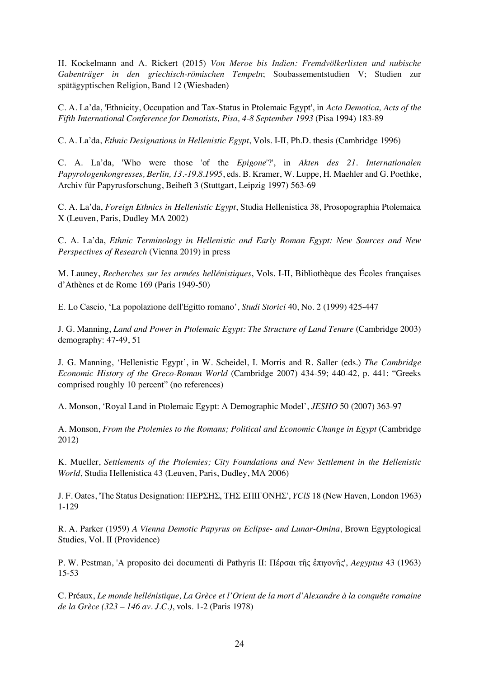H. Kockelmann and A. Rickert (2015) *Von Meroe bis Indien: Fremdvölkerlisten und nubische Gabenträger in den griechisch-römischen Tempeln*; Soubassementstudien V; Studien zur spätägyptischen Religion, Band 12 (Wiesbaden)

C. A. La'da, 'Ethnicity, Occupation and Tax-Status in Ptolemaic Egypt', in *Acta Demotica, Acts of the Fifth International Conference for Demotists, Pisa, 4-8 September 1993* (Pisa 1994) 183-89

C. A. La'da, *Ethnic Designations in Hellenistic Egypt*, Vols. I-II, Ph.D. thesis (Cambridge 1996)

C. A. La'da, 'Who were those 'of the *Epigone*'?', in *Akten des 21. Internationalen Papyrologenkongresses, Berlin, 13.-19.8.1995*, eds. B. Kramer, W. Luppe, H. Maehler and G. Poethke, Archiv für Papyrusforschung, Beiheft 3 (Stuttgart, Leipzig 1997) 563-69

C. A. La'da, *Foreign Ethnics in Hellenistic Egypt*, Studia Hellenistica 38, Prosopographia Ptolemaica X (Leuven, Paris, Dudley MA 2002)

C. A. La'da, *Ethnic Terminology in Hellenistic and Early Roman Egypt: New Sources and New Perspectives of Research* (Vienna 2019) in press

M. Launey, *Recherches sur les armées hellénistiques*, Vols. I-II, Bibliothèque des Écoles françaises d'Athènes et de Rome 169 (Paris 1949-50)

E. Lo Cascio, 'La popolazione dell'Egitto romano', *Studi Storici* 40, No. 2 (1999) 425-447

J. G. Manning, *Land and Power in Ptolemaic Egypt: The Structure of Land Tenure* (Cambridge 2003) demography: 47-49, 51

J. G. Manning, 'Hellenistic Egypt', in W. Scheidel, I. Morris and R. Saller (eds.) *The Cambridge Economic History of the Greco-Roman World* (Cambridge 2007) 434-59; 440-42, p. 441: "Greeks comprised roughly 10 percent" (no references)

A. Monson, 'Royal Land in Ptolemaic Egypt: A Demographic Model', *JESHO* 50 (2007) 363-97

A. Monson, *From the Ptolemies to the Romans; Political and Economic Change in Egypt* (Cambridge 2012)

K. Mueller, *Settlements of the Ptolemies; City Foundations and New Settlement in the Hellenistic World*, Studia Hellenistica 43 (Leuven, Paris, Dudley, MA 2006)

J. F. Oates, 'The Status Designation: ΠΕΡΣΗΣ, ΤΗΣ ΕΠΙΓΟΝΗΣ', *YClS* 18 (New Haven, London 1963) 1-129

R. A. Parker (1959) *A Vienna Demotic Papyrus on Eclipse- and Lunar-Omina*, Brown Egyptological Studies, Vol. II (Providence)

P. W. Pestman, 'A proposito dei documenti di Pathyris II: Πέρσαι τῆς ἐπιγονῆς', *Aegyptus* 43 (1963) 15-53

C. Préaux, *Le monde hellénistique, La Grèce et l'Orient de la mort d'Alexandre à la conquête romaine de la Grèce (323 – 146 av. J.C.)*, vols. 1-2 (Paris 1978)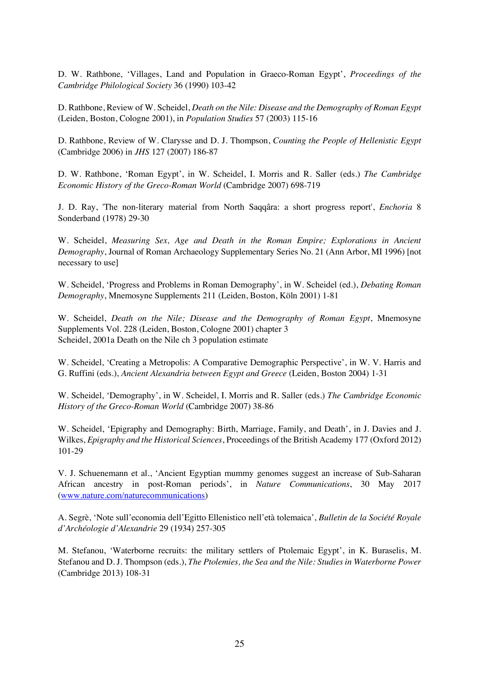D. W. Rathbone, 'Villages, Land and Population in Graeco-Roman Egypt', *Proceedings of the Cambridge Philological Society* 36 (1990) 103-42

D. Rathbone, Review of W. Scheidel, *Death on the Nile: Disease and the Demography of Roman Egypt* (Leiden, Boston, Cologne 2001), in *Population Studies* 57 (2003) 115-16

D. Rathbone, Review of W. Clarysse and D. J. Thompson, *Counting the People of Hellenistic Egypt* (Cambridge 2006) in *JHS* 127 (2007) 186-87

D. W. Rathbone, 'Roman Egypt', in W. Scheidel, I. Morris and R. Saller (eds.) *The Cambridge Economic History of the Greco-Roman World* (Cambridge 2007) 698-719

J. D. Ray, 'The non-literary material from North Saqqâra: a short progress report', *Enchoria* 8 Sonderband (1978) 29-30

W. Scheidel, *Measuring Sex, Age and Death in the Roman Empire; Explorations in Ancient Demography*, Journal of Roman Archaeology Supplementary Series No. 21 (Ann Arbor, MI 1996) [not necessary to use]

W. Scheidel, 'Progress and Problems in Roman Demography', in W. Scheidel (ed.), *Debating Roman Demography*, Mnemosyne Supplements 211 (Leiden, Boston, Köln 2001) 1-81

W. Scheidel, *Death on the Nile; Disease and the Demography of Roman Egypt*, Mnemosyne Supplements Vol. 228 (Leiden, Boston, Cologne 2001) chapter 3 Scheidel, 2001a Death on the Nile ch 3 population estimate

W. Scheidel, 'Creating a Metropolis: A Comparative Demographic Perspective', in W. V. Harris and G. Ruffini (eds.), *Ancient Alexandria between Egypt and Greece* (Leiden, Boston 2004) 1-31

W. Scheidel, 'Demography', in W. Scheidel, I. Morris and R. Saller (eds.) *The Cambridge Economic History of the Greco-Roman World* (Cambridge 2007) 38-86

W. Scheidel, 'Epigraphy and Demography: Birth, Marriage, Family, and Death', in J. Davies and J. Wilkes, *Epigraphy and the Historical Sciences*, Proceedings of the British Academy 177 (Oxford 2012) 101-29

V. J. Schuenemann et al., 'Ancient Egyptian mummy genomes suggest an increase of Sub-Saharan African ancestry in post-Roman periods', in *Nature Communications*, 30 May 2017 (www.nature.com/naturecommunications)

A. Segrè, 'Note sull'economia dell'Egitto Ellenistico nell'età tolemaica', *Bulletin de la Société Royale d'Archéologie d'Alexandrie* 29 (1934) 257-305

M. Stefanou, 'Waterborne recruits: the military settlers of Ptolemaic Egypt', in K. Buraselis, M. Stefanou and D. J. Thompson (eds.), *The Ptolemies, the Sea and the Nile: Studies in Waterborne Power* (Cambridge 2013) 108-31